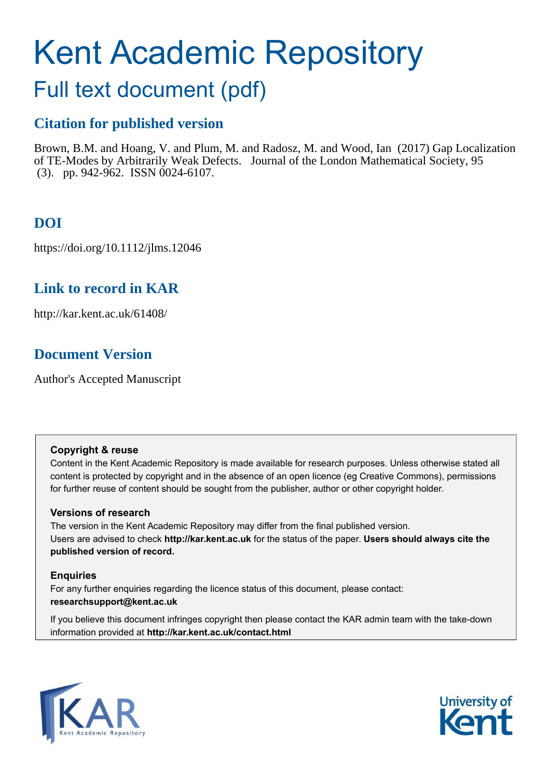# Kent Academic Repository

## Full text document (pdf)

## **Citation for published version**

Brown, B.M. and Hoang, V. and Plum, M. and Radosz, M. and Wood, Ian (2017) Gap Localization of TE-Modes by Arbitrarily Weak Defects. Journal of the London Mathematical Society, 95 (3). pp. 942-962. ISSN 0024-6107.

## **DOI**

https://doi.org/10.1112/jlms.12046

## **Link to record in KAR**

http://kar.kent.ac.uk/61408/

## **Document Version**

Author's Accepted Manuscript

#### **Copyright & reuse**

Content in the Kent Academic Repository is made available for research purposes. Unless otherwise stated all content is protected by copyright and in the absence of an open licence (eg Creative Commons), permissions for further reuse of content should be sought from the publisher, author or other copyright holder.

#### **Versions of research**

The version in the Kent Academic Repository may differ from the final published version. Users are advised to check **http://kar.kent.ac.uk** for the status of the paper. **Users should always cite the published version of record.**

#### **Enquiries**

For any further enquiries regarding the licence status of this document, please contact: **researchsupport@kent.ac.uk**

If you believe this document infringes copyright then please contact the KAR admin team with the take-down information provided at **http://kar.kent.ac.uk/contact.html**



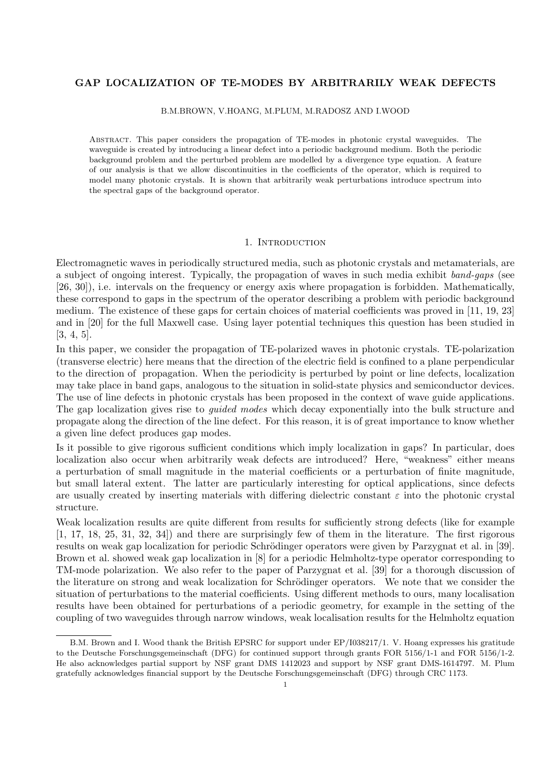#### GAP LOCALIZATION OF TE-MODES BY ARBITRARILY WEAK DEFECTS

B.M.BROWN, V.HOANG, M.PLUM, M.RADOSZ AND I.WOOD

Abstract. This paper considers the propagation of TE-modes in photonic crystal waveguides. The waveguide is created by introducing a linear defect into a periodic background medium. Both the periodic background problem and the perturbed problem are modelled by a divergence type equation. A feature of our analysis is that we allow discontinuities in the coefficients of the operator, which is required to model many photonic crystals. It is shown that arbitrarily weak perturbations introduce spectrum into the spectral gaps of the background operator.

#### 1. Introduction

Electromagnetic waves in periodically structured media, such as photonic crystals and metamaterials, are a subject of ongoing interest. Typically, the propagation of waves in such media exhibit band-gaps (see [26, 30]), i.e. intervals on the frequency or energy axis where propagation is forbidden. Mathematically, these correspond to gaps in the spectrum of the operator describing a problem with periodic background medium. The existence of these gaps for certain choices of material coefficients was proved in [11, 19, 23] and in [20] for the full Maxwell case. Using layer potential techniques this question has been studied in [3, 4, 5].

In this paper, we consider the propagation of TE-polarized waves in photonic crystals. TE-polarization (transverse electric) here means that the direction of the electric field is confined to a plane perpendicular to the direction of propagation. When the periodicity is perturbed by point or line defects, localization may take place in band gaps, analogous to the situation in solid-state physics and semiconductor devices. The use of line defects in photonic crystals has been proposed in the context of wave guide applications. The gap localization gives rise to *quided modes* which decay exponentially into the bulk structure and propagate along the direction of the line defect. For this reason, it is of great importance to know whether a given line defect produces gap modes.

Is it possible to give rigorous sufficient conditions which imply localization in gaps? In particular, does localization also occur when arbitrarily weak defects are introduced? Here, "weakness" either means a perturbation of small magnitude in the material coefficients or a perturbation of finite magnitude, but small lateral extent. The latter are particularly interesting for optical applications, since defects are usually created by inserting materials with differing dielectric constant  $\varepsilon$  into the photonic crystal structure.

Weak localization results are quite different from results for sufficiently strong defects (like for example [1, 17, 18, 25, 31, 32, 34]) and there are surprisingly few of them in the literature. The first rigorous results on weak gap localization for periodic Schrödinger operators were given by Parzygnat et al. in [39]. Brown et al. showed weak gap localization in [8] for a periodic Helmholtz-type operator corresponding to TM-mode polarization. We also refer to the paper of Parzygnat et al. [39] for a thorough discussion of the literature on strong and weak localization for Schrödinger operators. We note that we consider the situation of perturbations to the material coefficients. Using different methods to ours, many localisation results have been obtained for perturbations of a periodic geometry, for example in the setting of the coupling of two waveguides through narrow windows, weak localisation results for the Helmholtz equation

B.M. Brown and I. Wood thank the British EPSRC for support under EP/I038217/1. V. Hoang expresses his gratitude to the Deutsche Forschungsgemeinschaft (DFG) for continued support through grants FOR 5156/1-1 and FOR 5156/1-2. He also acknowledges partial support by NSF grant DMS 1412023 and support by NSF grant DMS-1614797. M. Plum gratefully acknowledges financial support by the Deutsche Forschungsgemeinschaft (DFG) through CRC 1173.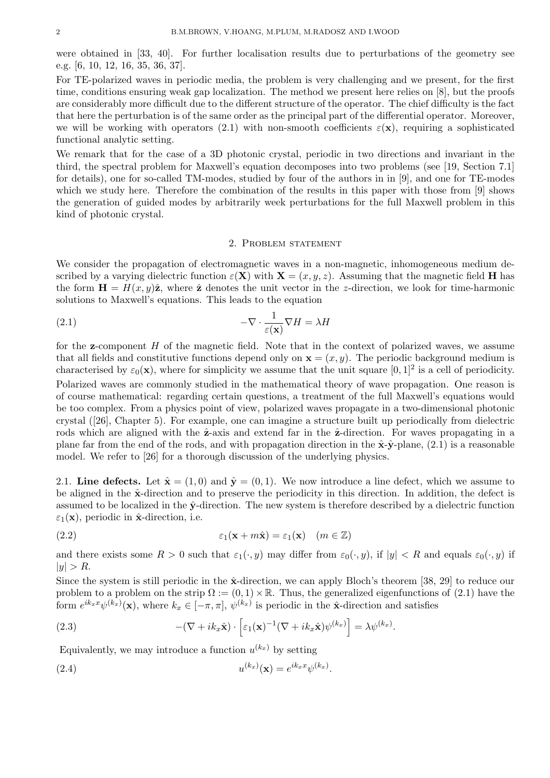were obtained in [33, 40]. For further localisation results due to perturbations of the geometry see e.g. [6, 10, 12, 16, 35, 36, 37].

For TE-polarized waves in periodic media, the problem is very challenging and we present, for the first time, conditions ensuring weak gap localization. The method we present here relies on [8], but the proofs are considerably more difficult due to the different structure of the operator. The chief difficulty is the fact that here the perturbation is of the same order as the principal part of the differential operator. Moreover, we will be working with operators (2.1) with non-smooth coefficients  $\varepsilon(\mathbf{x})$ , requiring a sophisticated functional analytic setting.

We remark that for the case of a 3D photonic crystal, periodic in two directions and invariant in the third, the spectral problem for Maxwell's equation decomposes into two problems (see [19, Section 7.1] for details), one for so-called TM-modes, studied by four of the authors in in [9], and one for TE-modes which we study here. Therefore the combination of the results in this paper with those from [9] shows the generation of guided modes by arbitrarily week perturbations for the full Maxwell problem in this kind of photonic crystal.

#### 2. Problem statement

We consider the propagation of electromagnetic waves in a non-magnetic, inhomogeneous medium described by a varying dielectric function  $\varepsilon(\mathbf{X})$  with  $\mathbf{X} = (x, y, z)$ . Assuming that the magnetic field **H** has the form  $\mathbf{H} = H(x, y)\hat{\mathbf{z}}$ , where  $\hat{\mathbf{z}}$  denotes the unit vector in the z-direction, we look for time-harmonic solutions to Maxwell's equations. This leads to the equation

(2.1) 
$$
-\nabla \cdot \frac{1}{\varepsilon(\mathbf{x})} \nabla H = \lambda H
$$

for the **z**-component  $H$  of the magnetic field. Note that in the context of polarized waves, we assume that all fields and constitutive functions depend only on  $\mathbf{x} = (x, y)$ . The periodic background medium is characterised by  $\varepsilon_0(\mathbf{x})$ , where for simplicity we assume that the unit square  $[0,1]^2$  is a cell of periodicity. Polarized waves are commonly studied in the mathematical theory of wave propagation. One reason is of course mathematical: regarding certain questions, a treatment of the full Maxwell's equations would be too complex. From a physics point of view, polarized waves propagate in a two-dimensional photonic crystal ([26], Chapter 5). For example, one can imagine a structure built up periodically from dielectric rods which are aligned with the  $\hat{z}$ -axis and extend far in the  $\hat{z}$ -direction. For waves propagating in a plane far from the end of the rods, and with propagation direction in the  $\hat{\mathbf{x}}$ - $\hat{\mathbf{y}}$ -plane, (2.1) is a reasonable model. We refer to [26] for a thorough discussion of the underlying physics.

2.1. Line defects. Let  $\hat{\mathbf{x}} = (1,0)$  and  $\hat{\mathbf{y}} = (0,1)$ . We now introduce a line defect, which we assume to be aligned in the  $\hat{\mathbf{x}}$ -direction and to preserve the periodicity in this direction. In addition, the defect is assumed to be localized in the  $\hat{y}$ -direction. The new system is therefore described by a dielectric function  $\varepsilon_1(\mathbf{x})$ , periodic in  $\hat{\mathbf{x}}$ -direction, i.e.

(2.2) 
$$
\varepsilon_1(\mathbf{x} + m\hat{\mathbf{x}}) = \varepsilon_1(\mathbf{x}) \quad (m \in \mathbb{Z})
$$

and there exists some  $R > 0$  such that  $\varepsilon_1(\cdot, y)$  may differ from  $\varepsilon_0(\cdot, y)$ , if  $|y| < R$  and equals  $\varepsilon_0(\cdot, y)$  if  $|y| > R$ .

Since the system is still periodic in the  $\hat{\mathbf{x}}$ -direction, we can apply Bloch's theorem [38, 29] to reduce our problem to a problem on the strip  $\Omega := (0,1) \times \mathbb{R}$ . Thus, the generalized eigenfunctions of (2.1) have the form  $e^{ik_x x}\psi^{(k_x)}(\mathbf{x})$ , where  $k_x \in [-\pi, \pi]$ ,  $\psi^{(k_x)}$  is periodic in the  $\hat{\mathbf{x}}$ -direction and satisfies

(2.3) 
$$
-(\nabla + ik_x \hat{\mathbf{x}}) \cdot \left[\varepsilon_1(\mathbf{x})^{-1}(\nabla + ik_x \hat{\mathbf{x}})\psi^{(k_x)}\right] = \lambda \psi^{(k_x)}.
$$

Equivalently, we may introduce a function  $u^{(k_x)}$  by setting

$$
(2.4) \t\t u(kx)(\mathbf{x}) = e^{ik_x x} \psi(kx).
$$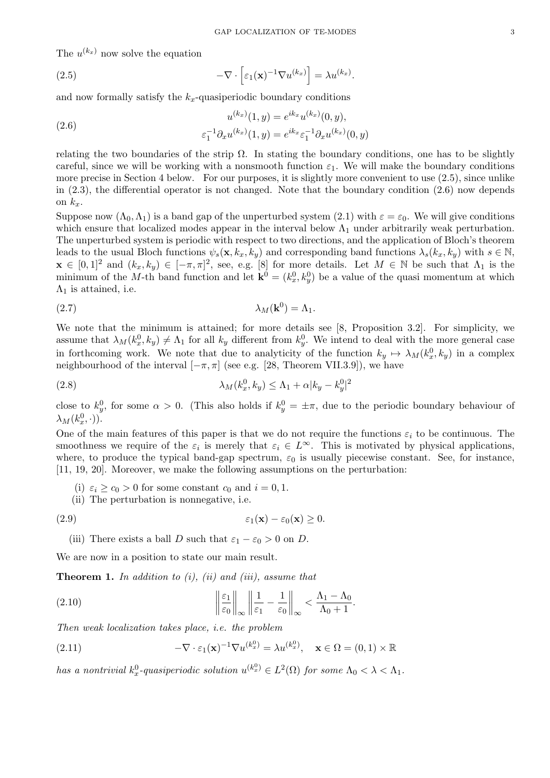The  $u^{(k_x)}$  now solve the equation

(2.5) 
$$
-\nabla \cdot \left[\varepsilon_1(\mathbf{x})^{-1} \nabla u^{(k_x)}\right] = \lambda u^{(k_x)}.
$$

and now formally satisfy the  $k_x$ -quasiperiodic boundary conditions

(2.6) 
$$
u^{(k_x)}(1, y) = e^{ik_x} u^{(k_x)}(0, y),
$$

$$
\varepsilon_1^{-1} \partial_x u^{(k_x)}(1, y) = e^{ik_x} \varepsilon_1^{-1} \partial_x u^{(k_x)}(0, y)
$$

relating the two boundaries of the strip  $\Omega$ . In stating the boundary conditions, one has to be slightly careful, since we will be working with a nonsmooth function  $\varepsilon_1$ . We will make the boundary conditions more precise in Section 4 below. For our purposes, it is slightly more convenient to use (2.5), since unlike in  $(2.3)$ , the differential operator is not changed. Note that the boundary condition  $(2.6)$  now depends on  $k_x$ .

Suppose now  $(\Lambda_0, \Lambda_1)$  is a band gap of the unperturbed system (2.1) with  $\varepsilon = \varepsilon_0$ . We will give conditions which ensure that localized modes appear in the interval below  $\Lambda_1$  under arbitrarily weak perturbation. The unperturbed system is periodic with respect to two directions, and the application of Bloch's theorem leads to the usual Bloch functions  $\psi_s(\mathbf{x}, k_x, k_y)$  and corresponding band functions  $\lambda_s(k_x, k_y)$  with  $s \in \mathbb{N}$ ,  $\mathbf{x} \in [0,1]^2$  and  $(k_x, k_y) \in [-\pi, \pi]^2$ , see, e.g. [8] for more details. Let  $M \in \mathbb{N}$  be such that  $\Lambda_1$  is the minimum of the M-th band function and let  $\mathbf{k}^0 = (k_x^0, k_y^0)$  be a value of the quasi momentum at which  $\Lambda_1$  is attained, i.e.

$$
\lambda_M(\mathbf{k}^0) = \Lambda_1.
$$

We note that the minimum is attained; for more details see [8, Proposition 3.2]. For simplicity, we assume that  $\lambda_M(k_x^0, k_y) \neq \Lambda_1$  for all  $k_y$  different from  $k_y^0$ . We intend to deal with the more general case in forthcoming work. We note that due to analyticity of the function  $k_y \mapsto \lambda_M(k_x^0, k_y)$  in a complex neighbourhood of the interval  $[-\pi, \pi]$  (see e.g. [28, Theorem VII.3.9]), we have

(2.8) 
$$
\lambda_M(k_x^0, k_y) \leq \Lambda_1 + \alpha |k_y - k_y^0|^2
$$

close to  $k_y^0$ , for some  $\alpha > 0$ . (This also holds if  $k_y^0 = \pm \pi$ , due to the periodic boundary behaviour of  $\lambda_M(k_x^0,\cdot)).$ 

One of the main features of this paper is that we do not require the functions  $\varepsilon_i$  to be continuous. The smoothness we require of the  $\varepsilon_i$  is merely that  $\varepsilon_i \in L^{\infty}$ . This is motivated by physical applications, where, to produce the typical band-gap spectrum,  $\varepsilon_0$  is usually piecewise constant. See, for instance, [11, 19, 20]. Moreover, we make the following assumptions on the perturbation:

(i)  $\varepsilon_i \geq c_0 > 0$  for some constant  $c_0$  and  $i = 0, 1$ .

(ii) The perturbation is nonnegative, i.e.

(2.9) 
$$
\varepsilon_1(\mathbf{x}) - \varepsilon_0(\mathbf{x}) \geq 0.
$$

(iii) There exists a ball D such that  $\varepsilon_1 - \varepsilon_0 > 0$  on D.

We are now in a position to state our main result.

**Theorem 1.** In addition to  $(i)$ ,  $(ii)$  and  $(iii)$ , assume that

(2.10) 
$$
\left\|\frac{\varepsilon_1}{\varepsilon_0}\right\|_{\infty}\left\|\frac{1}{\varepsilon_1}-\frac{1}{\varepsilon_0}\right\|_{\infty} < \frac{\Lambda_1-\Lambda_0}{\Lambda_0+1}.
$$

Then weak localization takes place, i.e. the problem

(2.11) 
$$
-\nabla \cdot \varepsilon_1(\mathbf{x})^{-1} \nabla u^{(k_x^0)} = \lambda u^{(k_x^0)}, \quad \mathbf{x} \in \Omega = (0,1) \times \mathbb{R}
$$

has a nontrivial  $k_x^0$ -quasiperiodic solution  $u^{(k_x^0)} \in L^2(\Omega)$  for some  $\Lambda_0 < \lambda < \Lambda_1$ .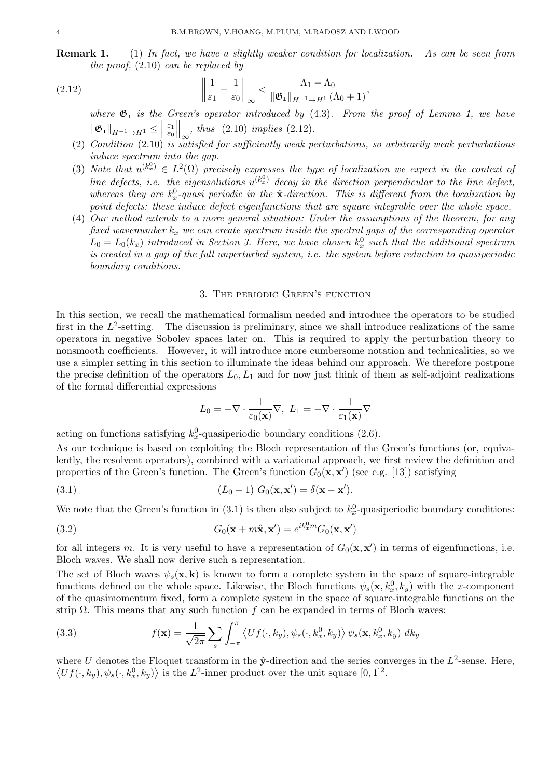**Remark 1.** (1) In fact, we have a slightly weaker condition for localization. As can be seen from the proof,  $(2.10)$  can be replaced by

(2.12) 
$$
\left\|\frac{1}{\varepsilon_1}-\frac{1}{\varepsilon_0}\right\|_{\infty} < \frac{\Lambda_1-\Lambda_0}{\|\mathfrak{G}_1\|_{H^{-1}\to H^1}(\Lambda_0+1)},
$$

where  $\mathfrak{G}_1$  is the Green's operator introduced by (4.3). From the proof of Lemma 1, we have  $\|\mathfrak{G}_1\|_{H^{-1}\to H^1}\leq \Big\|$  $\varepsilon_1$ ε0  $\Big\|_{\infty}$ , thus (2.10) implies (2.12).

- (2) Condition (2.10) is satisfied for sufficiently weak perturbations, so arbitrarily weak perturbations induce spectrum into the gap.
- (3) Note that  $u^{(k_x^0)} \in L^2(\Omega)$  precisely expresses the type of localization we expect in the context of line defects, i.e. the eigensolutions  $u^{(k_x^0)}$  decay in the direction perpendicular to the line defect, whereas they are  $k_x^0$ -quasi periodic in the  $\hat{\mathbf{x}}$ -direction. This is different from the localization by point defects: these induce defect eigenfunctions that are square integrable over the whole space.
- (4) Our method extends to a more general situation: Under the assumptions of the theorem, for any fixed wavenumber  $k_x$  we can create spectrum inside the spectral gaps of the corresponding operator  $L_0 = L_0(k_x)$  introduced in Section 3. Here, we have chosen  $k_x^0$  such that the additional spectrum is created in a gap of the full unperturbed system, i.e. the system before reduction to quasiperiodic boundary conditions.

#### 3. The periodic Green's function

In this section, we recall the mathematical formalism needed and introduce the operators to be studied first in the  $L^2$ -setting. The discussion is preliminary, since we shall introduce realizations of the same operators in negative Sobolev spaces later on. This is required to apply the perturbation theory to nonsmooth coefficients. However, it will introduce more cumbersome notation and technicalities, so we use a simpler setting in this section to illuminate the ideas behind our approach. We therefore postpone the precise definition of the operators  $L_0, L_1$  and for now just think of them as self-adjoint realizations of the formal differential expressions

$$
L_0 = -\nabla \cdot \frac{1}{\varepsilon_0(\mathbf{x})} \nabla, \ L_1 = -\nabla \cdot \frac{1}{\varepsilon_1(\mathbf{x})} \nabla
$$

acting on functions satisfying  $k_x^0$ -quasiperiodic boundary conditions (2.6).

As our technique is based on exploiting the Bloch representation of the Green's functions (or, equivalently, the resolvent operators), combined with a variational approach, we first review the definition and properties of the Green's function. The Green's function  $G_0(\mathbf{x}, \mathbf{x}')$  (see e.g. [13]) satisfying

(3.1) 
$$
(L_0 + 1) G_0(\mathbf{x}, \mathbf{x}') = \delta(\mathbf{x} - \mathbf{x}').
$$

We note that the Green's function in (3.1) is then also subject to  $k_x^0$ -quasiperiodic boundary conditions:

(3.2) 
$$
G_0(\mathbf{x} + m\hat{\mathbf{x}}, \mathbf{x}') = e^{ik_x^0 m} G_0(\mathbf{x}, \mathbf{x}')
$$

for all integers m. It is very useful to have a representation of  $G_0(\mathbf{x}, \mathbf{x}')$  in terms of eigenfunctions, i.e. Bloch waves. We shall now derive such a representation.

The set of Bloch waves  $\psi_s(\mathbf{x}, \mathbf{k})$  is known to form a complete system in the space of square-integrable functions defined on the whole space. Likewise, the Bloch functions  $\psi_s(\mathbf{x}, k_x^0, k_y)$  with the x-component of the quasimomentum fixed, form a complete system in the space of square-integrable functions on the strip  $\Omega$ . This means that any such function f can be expanded in terms of Bloch waves:

(3.3) 
$$
f(\mathbf{x}) = \frac{1}{\sqrt{2\pi}} \sum_{s} \int_{-\pi}^{\pi} \langle Uf(\cdot, k_y), \psi_s(\cdot, k_x^0, k_y) \rangle \psi_s(\mathbf{x}, k_x^0, k_y) dk_y
$$

where U denotes the Floquet transform in the  $\hat{y}$ -direction and the series converges in the  $L^2$ -sense. Here,  $\langle Uf(\cdot, k_y), \psi_s(\cdot, k_x^0, k_y) \rangle$  is the L<sup>2</sup>-inner product over the unit square [0, 1]<sup>2</sup>.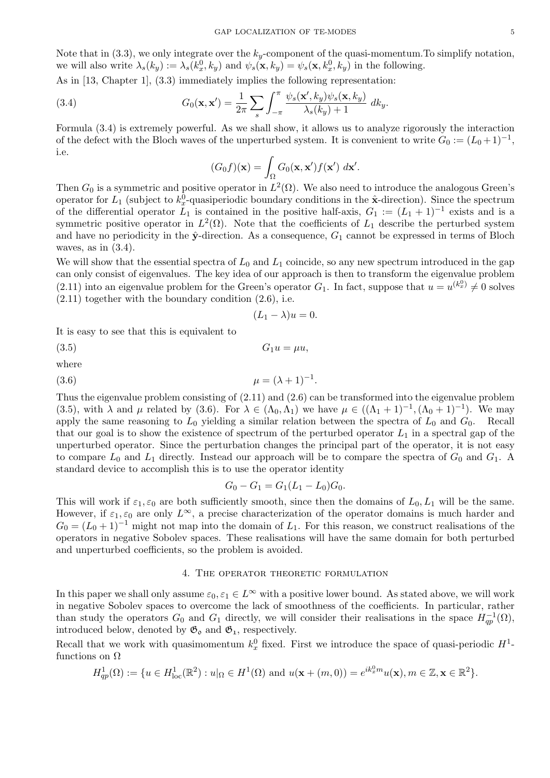Note that in (3.3), we only integrate over the  $k_y$ -component of the quasi-momentum. To simplify notation, we will also write  $\lambda_s(k_y) := \lambda_s(k_x^0, k_y)$  and  $\psi_s(\mathbf{x}, k_y) = \psi_s(\mathbf{x}, k_x^0, k_y)$  in the following.

As in [13, Chapter 1], (3.3) immediately implies the following representation:

(3.4) 
$$
G_0(\mathbf{x}, \mathbf{x}') = \frac{1}{2\pi} \sum_s \int_{-\pi}^{\pi} \frac{\psi_s(\mathbf{x}', k_y) \psi_s(\mathbf{x}, k_y)}{\lambda_s(k_y) + 1} dk_y.
$$

Formula (3.4) is extremely powerful. As we shall show, it allows us to analyze rigorously the interaction of the defect with the Bloch waves of the unperturbed system. It is convenient to write  $G_0 := (L_0 + 1)^{-1}$ , i.e.

$$
(G_0 f)(\mathbf{x}) = \int_{\Omega} G_0(\mathbf{x}, \mathbf{x}') f(\mathbf{x}') \, d\mathbf{x}'.
$$

Then  $G_0$  is a symmetric and positive operator in  $L^2(\Omega)$ . We also need to introduce the analogous Green's operator for  $L_1$  (subject to  $k_x^0$ -quasiperiodic boundary conditions in the  $\hat{\mathbf{x}}$ -direction). Since the spectrum of the differential operator  $L_1$  is contained in the positive half-axis,  $G_1 := (L_1 + 1)^{-1}$  exists and is a symmetric positive operator in  $L^2(\Omega)$ . Note that the coefficients of  $L_1$  describe the perturbed system and have no periodicity in the  $\hat{y}$ -direction. As a consequence,  $G_1$  cannot be expressed in terms of Bloch waves, as in  $(3.4)$ .

We will show that the essential spectra of  $L_0$  and  $L_1$  coincide, so any new spectrum introduced in the gap can only consist of eigenvalues. The key idea of our approach is then to transform the eigenvalue problem (2.11) into an eigenvalue problem for the Green's operator  $G_1$ . In fact, suppose that  $u = u^{(k_x^0)} \neq 0$  solves  $(2.11)$  together with the boundary condition  $(2.6)$ , i.e.

$$
(L_1 - \lambda)u = 0.
$$

It is easy to see that this is equivalent to

(3.5)  $G_1 u = \mu u,$ 

where

(3.6) 
$$
\mu = (\lambda + 1)^{-1}.
$$

Thus the eigenvalue problem consisting of (2.11) and (2.6) can be transformed into the eigenvalue problem (3.5), with  $\lambda$  and  $\mu$  related by (3.6). For  $\lambda \in (\Lambda_0, \Lambda_1)$  we have  $\mu \in ((\Lambda_1 + 1)^{-1}, (\Lambda_0 + 1)^{-1})$ . We may apply the same reasoning to  $L_0$  yielding a similar relation between the spectra of  $L_0$  and  $G_0$ . Recall that our goal is to show the existence of spectrum of the perturbed operator  $L_1$  in a spectral gap of the unperturbed operator. Since the perturbation changes the principal part of the operator, it is not easy to compare  $L_0$  and  $L_1$  directly. Instead our approach will be to compare the spectra of  $G_0$  and  $G_1$ . A standard device to accomplish this is to use the operator identity

$$
G_0 - G_1 = G_1(L_1 - L_0)G_0.
$$

This will work if  $\varepsilon_1, \varepsilon_0$  are both sufficiently smooth, since then the domains of  $L_0, L_1$  will be the same. However, if  $\varepsilon_1, \varepsilon_0$  are only  $L^{\infty}$ , a precise characterization of the operator domains is much harder and  $G_0 = (L_0 + 1)^{-1}$  might not map into the domain of  $L_1$ . For this reason, we construct realisations of the operators in negative Sobolev spaces. These realisations will have the same domain for both perturbed and unperturbed coefficients, so the problem is avoided.

#### 4. The operator theoretic formulation

In this paper we shall only assume  $\varepsilon_0, \varepsilon_1 \in L^\infty$  with a positive lower bound. As stated above, we will work in negative Sobolev spaces to overcome the lack of smoothness of the coefficients. In particular, rather than study the operators  $G_0$  and  $G_1$  directly, we will consider their realisations in the space  $H_{qp}^{-1}(\Omega)$ , introduced below, denoted by  $\mathfrak{G_0}$  and  $\mathfrak{G_1}$ , respectively.

Recall that we work with quasimomentum  $k_x^0$  fixed. First we introduce the space of quasi-periodic  $H^1$ functions on  $\Omega$ 

$$
H_{qp}^1(\Omega):=\{u\in H_{\text{loc}}^1(\mathbb{R}^2):u|_{\Omega}\in H^1(\Omega)\text{ and }u(\mathbf{x}+(m,0))=e^{ik_x^0m}u(\mathbf{x}), m\in\mathbb{Z}, \mathbf{x}\in\mathbb{R}^2\}.
$$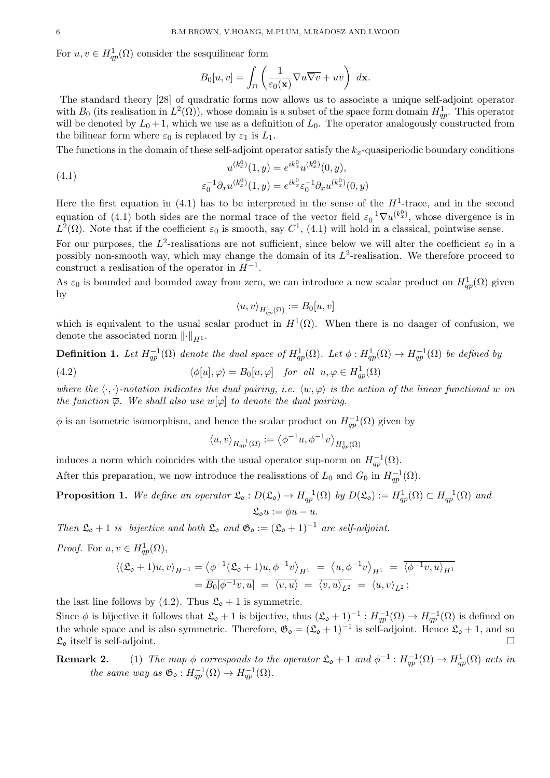For  $u, v \in H_{qp}^1(\Omega)$  consider the sesquilinear form

$$
B_0[u, v] = \int_{\Omega} \left( \frac{1}{\varepsilon_0(\mathbf{x})} \nabla u \overline{\nabla v} + u \overline{v} \right) d\mathbf{x}.
$$

The standard theory [28] of quadratic forms now allows us to associate a unique self-adjoint operator with  $B_0$  (its realisation in  $L^2(\Omega)$ ), whose domain is a subset of the space form domain  $H_{qp}^1$ . This operator will be denoted by  $L_0 + 1$ , which we use as a definition of  $L_0$ . The operator analogously constructed from the bilinear form where  $\varepsilon_0$  is replaced by  $\varepsilon_1$  is  $L_1$ .

The functions in the domain of these self-adjoint operator satisfy the  $k_x$ -quasiperiodic boundary conditions

(4.1) 
$$
u^{(k_x^0)}(1,y) = e^{ik_x^0} u^{(k_x^0)}(0,y), \n\varepsilon_0^{-1} \partial_x u^{(k_x^0)}(1,y) = e^{ik_x^0} \varepsilon_0^{-1} \partial_x u^{(k_x^0)}(0,y)
$$

Here the first equation in (4.1) has to be interpreted in the sense of the  $H^1$ -trace, and in the second equation of (4.1) both sides are the normal trace of the vector field  $\varepsilon_0^{-1} \nabla u^{(k_x^0)}$ , whose divergence is in  $L^2(\Omega)$ . Note that if the coefficient  $\varepsilon_0$  is smooth, say  $C^1$ , (4.1) will hold in a classical, pointwise sense.

For our purposes, the  $L^2$ -realisations are not sufficient, since below we will alter the coefficient  $\varepsilon_0$  in a possibly non-smooth way, which may change the domain of its  $L^2$ -realisation. We therefore proceed to construct a realisation of the operator in  $H^{-1}$ .

As  $\varepsilon_0$  is bounded and bounded away from zero, we can introduce a new scalar product on  $H_{qp}^1(\Omega)$  given by

$$
\langle u, v \rangle_{H^1_{qp}(\Omega)} := B_0[u, v]
$$

which is equivalent to the usual scalar product in  $H^1(\Omega)$ . When there is no danger of confusion, we denote the associated norm  $\lVert \cdot \rVert_{H^1}$ .

**Definition 1.** Let  $H^{-1}_{qp}(\Omega)$  denote the dual space of  $H^1_{qp}(\Omega)$ . Let  $\phi: H^1_{qp}(\Omega) \to H^{-1}_{qp}(\Omega)$  be defined by (4.2)  $\langle \phi[u], \varphi \rangle = B_0[u, \varphi]$  for all  $u, \varphi \in H_{qp}^1(\Omega)$ 

where the  $\langle \cdot, \cdot \rangle$ -notation indicates the dual pairing, i.e.  $\langle w, \varphi \rangle$  is the action of the linear functional w on the function  $\overline{\varphi}$ . We shall also use  $w[\varphi]$  to denote the dual pairing.

 $\phi$  is an isometric isomorphism, and hence the scalar product on  $H^{-1}_{qp}(\Omega)$  given by

$$
\langle u, v \rangle_{H^{-1}_{qp}(\Omega)} := \langle \phi^{-1}u, \phi^{-1}v \rangle_{H^1_{qp}(\Omega)}
$$

induces a norm which coincides with the usual operator sup-norm on  $H_{qp}^{-1}(\Omega)$ .

After this preparation, we now introduce the realisations of  $L_0$  and  $G_0$  in  $H_{qp}^{-1}(\Omega)$ .

**Proposition 1.** We define an operator  $\mathfrak{L}_{\mathfrak{0}} : D(\mathfrak{L}_{\mathfrak{0}}) \to H_{qp}^{-1}(\Omega)$  by  $D(\mathfrak{L}_{\mathfrak{0}}) := H_{qp}^{1}(\Omega) \subset H_{qp}^{-1}(\Omega)$  and  $\mathfrak{L}_{\circ}u := \phi u - u.$ 

Then  $\mathfrak{L}_{\mathfrak{0}} + 1$  is bijective and both  $\mathfrak{L}_{\mathfrak{0}}$  and  $\mathfrak{G}_{\mathfrak{0}} := (\mathfrak{L}_{\mathfrak{0}} + 1)^{-1}$  are self-adjoint.

*Proof.* For  $u, v \in H_{qp}^1(\Omega)$ ,

$$
\langle (\mathfrak{L}_{\mathfrak{0}} + 1)u, v \rangle_{H^{-1}} = \langle \phi^{-1}(\mathfrak{L}_{\mathfrak{0}} + 1)u, \phi^{-1}v \rangle_{H^{1}} = \langle u, \phi^{-1}v \rangle_{H^{1}} = \overline{\langle \phi^{-1}v, u \rangle_{H^{1}}}
$$

$$
= \overline{B_{0}[\phi^{-1}v, u]} = \overline{\langle v, u \rangle} = \overline{\langle v, u \rangle_{L^{2}}} = \langle u, v \rangle_{L^{2}};
$$

the last line follows by (4.2). Thus  $\mathfrak{L}_{\mathfrak{0}} + 1$  is symmetric.

Since  $\phi$  is bijective it follows that  $\mathfrak{L}_{\mathfrak{0}} + 1$  is bijective, thus  $(\mathfrak{L}_{\mathfrak{0}} + 1)^{-1} : H_{qp}^{-1}(\Omega) \to H_{qp}^{-1}(\Omega)$  is defined on the whole space and is also symmetric. Therefore,  $\mathfrak{G}_{\mathfrak{d}} = (\mathfrak{L}_{\mathfrak{d}} + 1)^{-1}$  is self-adjoint. Hence  $\mathfrak{L}_{\mathfrak{d}} + 1$ , and so  $\mathfrak{L}_{\mathfrak{0}}$  itself is self-adjoint.

**Remark 2.** (1) The map  $\phi$  corresponds to the operator  $\mathfrak{L}_{\mathfrak{d}} + 1$  and  $\phi^{-1} : H^{-1}_{qp}(\Omega) \to H^1_{qp}(\Omega)$  acts in the same way as  $\mathfrak{G}_{\mathfrak{0}} : H_{qp}^{-1}(\Omega) \to H_{qp}^{-1}(\Omega)$ .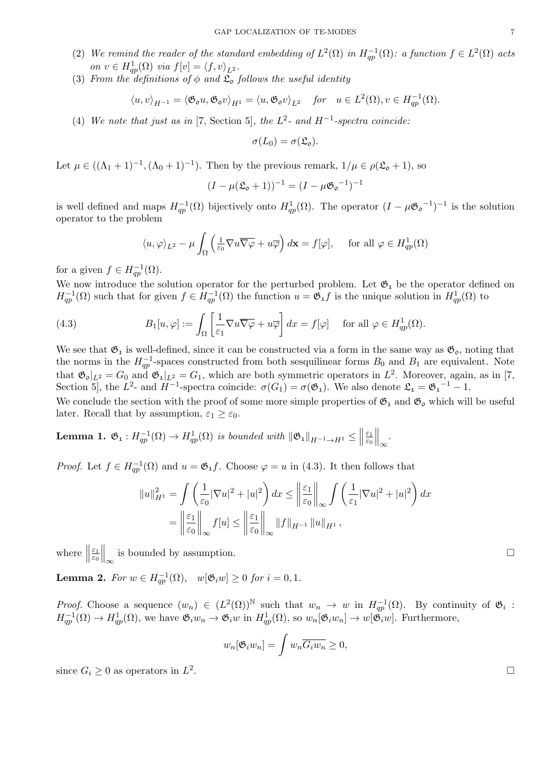- (2) We remind the reader of the standard embedding of  $L^2(\Omega)$  in  $H_{qp}^{-1}(\Omega)$ : a function  $f \in L^2(\Omega)$  acts on  $v \in H_{qp}^1(\Omega)$  via  $f[v] = \langle f, v \rangle_{L^2}$ .
- (3) From the definitions of  $\phi$  and  $\mathfrak{L}_{\mathfrak{d}}$  follows the useful identity

$$
\langle u, v \rangle_{H^{-1}} = \langle \mathfrak{G}_\mathfrak{0} u, \mathfrak{G}_\mathfrak{0} v \rangle_{H^1} = \langle u, \mathfrak{G}_\mathfrak{0} v \rangle_{L^2} \quad \text{for} \quad u \in L^2(\Omega), v \in H_{qp}^{-1}(\Omega).
$$

(4) We note that just as in [7, Section 5], the  $L^2$ - and  $H^{-1}$ -spectra coincide:

$$
\sigma(L_0)=\sigma(\mathfrak{L}_\mathfrak{o}).
$$

Let  $\mu \in ((\Lambda_1 + 1)^{-1}, (\Lambda_0 + 1)^{-1})$ . Then by the previous remark,  $1/\mu \in \rho(\mathfrak{L}_0 + 1)$ , so

$$
(I - \mu(\mathfrak{L}_{o} + 1))^{-1} = (I - \mu \mathfrak{G}_{o}^{-1})^{-1}
$$

is well defined and maps  $H^{-1}_{qp}(\Omega)$  bijectively onto  $H^1_{qp}(\Omega)$ . The operator  $(I - \mu \mathfrak{G}_{\mathfrak{d}}^{-1})^{-1}$  is the solution operator to the problem

$$
\langle u, \varphi \rangle_{L^2} - \mu \int_{\Omega} \left( \frac{1}{\varepsilon_0} \nabla u \overline{\nabla \varphi} + u \overline{\varphi} \right) d\mathbf{x} = f[\varphi], \quad \text{ for all } \varphi \in H^1_{qp}(\Omega)
$$

for a given  $f \in H_{qp}^{-1}(\Omega)$ .

We now introduce the solution operator for the perturbed problem. Let  $\mathfrak{G}_1$  be the operator defined on  $H_{qp}^{-1}(\Omega)$  such that for given  $f \in H_{qp}^{-1}(\Omega)$  the function  $u = \mathfrak{G}_1 f$  is the unique solution in  $H_{qp}^1(\Omega)$  to

(4.3) 
$$
B_1[u,\varphi] := \int_{\Omega} \left[ \frac{1}{\varepsilon_1} \nabla u \overline{\nabla \varphi} + u \overline{\varphi} \right] dx = f[\varphi] \quad \text{for all } \varphi \in H_{qp}^1(\Omega).
$$

We see that  $\mathfrak{G}_1$  is well-defined, since it can be constructed via a form in the same way as  $\mathfrak{G}_0$ , noting that the norms in the  $H_{qp}^{-1}$ -spaces constructed from both sesquilinear forms  $B_0$  and  $B_1$  are equivalent. Note that  $\mathfrak{G}_{\mathfrak{d}}|_{L^2} = G_0$  and  $\mathfrak{G}_1|_{L^2} = G_1$ , which are both symmetric operators in  $L^2$ . Moreover, again, as in [7, Section 5], the  $L^2$ - and  $H^{-1}$ -spectra coincide:  $\sigma(G_1) = \sigma(\mathfrak{G}_1)$ . We also denote  $\mathfrak{L}_1 = \mathfrak{G}_1^{-1} - 1$ .

We conclude the section with the proof of some more simple properties of  $\mathfrak{G}_1$  and  $\mathfrak{G}_0$  which will be useful later. Recall that by assumption,  $\varepsilon_1 \geq \varepsilon_0$ .

**Lemma 1.**  $\mathfrak{G}_1 : H^{-1}_{qp}(\Omega) \to H^1_{qp}(\Omega)$  is bounded with  $\|\mathfrak{G}_1\|_{H^{-1} \to H^1} \leq \left\|$  $\varepsilon_1$  $\varepsilon_0$  $\Big\|_{\infty}$ .

*Proof.* Let  $f \in H_{qp}^{-1}(\Omega)$  and  $u = \mathfrak{G}_1 f$ . Choose  $\varphi = u$  in (4.3). It then follows that

$$
||u||_{H^1}^2 = \int \left(\frac{1}{\varepsilon_0} |\nabla u|^2 + |u|^2\right) dx \le \left\|\frac{\varepsilon_1}{\varepsilon_0}\right\|_{\infty} \int \left(\frac{1}{\varepsilon_1} |\nabla u|^2 + |u|^2\right) dx
$$
  
=  $\left\|\frac{\varepsilon_1}{\varepsilon_0}\right\|_{\infty} f[u] \le \left\|\frac{\varepsilon_1}{\varepsilon_0}\right\|_{\infty} ||f||_{H^{-1}} ||u||_{H^1},$ 

where  $\parallel$ ε1  $\varepsilon_0$  $\parallel_{\infty}$  is bounded by assumption.  $□$ 

**Lemma 2.** For  $w \in H_{qp}^{-1}(\Omega)$ ,  $w[\mathfrak{G}_i w] \geq 0$  for  $i = 0, 1$ .

*Proof.* Choose a sequence  $(w_n) \in (L^2(\Omega))^{\mathbb{N}}$  such that  $w_n \to w$  in  $H^{-1}_{qp}(\Omega)$ . By continuity of  $\mathfrak{G}_i$ :  $H_{qp}^{-1}(\Omega) \to H_{qp}^1(\Omega)$ , we have  $\mathfrak{G}_i w_n \to \mathfrak{G}_i w$  in  $H_{qp}^1(\Omega)$ , so  $w_n[\mathfrak{G}_i w_n] \to w[\mathfrak{G}_i w]$ . Furthermore,

$$
w_n[\mathfrak{G}_i w_n] = \int w_n \overline{G_i w_n} \ge 0,
$$

since  $G_i \geq 0$  as operators in  $L^2$ 

. In the contract of the contract of the contract of the contract of the contract of the contract of the contract of the contract of the contract of the contract of the contract of the contract of the contract of the contr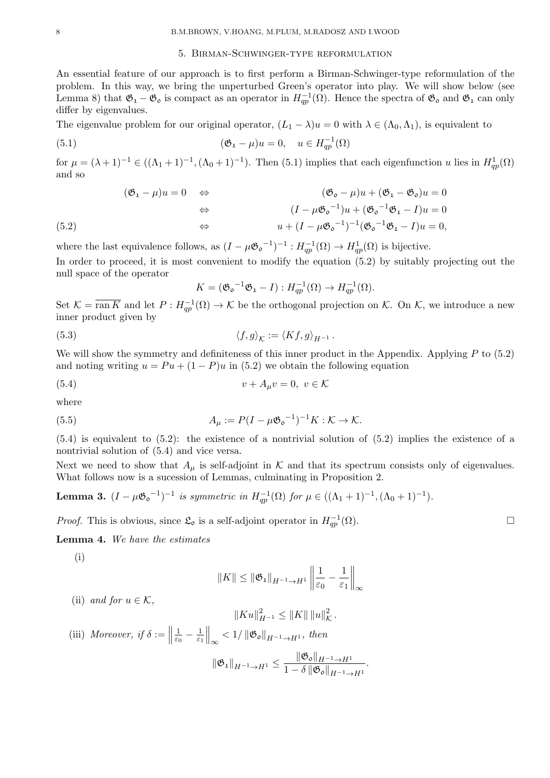#### 5. Birman-Schwinger-type reformulation

An essential feature of our approach is to first perform a Birman-Schwinger-type reformulation of the problem. In this way, we bring the unperturbed Green's operator into play. We will show below (see Lemma 8) that  $\mathfrak{G}_1 - \mathfrak{G}_0$  is compact as an operator in  $H_{qp}^{-1}(\Omega)$ . Hence the spectra of  $\mathfrak{G}_0$  and  $\mathfrak{G}_1$  can only differ by eigenvalues.

The eigenvalue problem for our original operator,  $(L_1 - \lambda)u = 0$  with  $\lambda \in (\Lambda_0, \Lambda_1)$ , is equivalent to

(5.1) 
$$
(\mathfrak{G}_1 - \mu)u = 0, \quad u \in H_{qp}^{-1}(\Omega)
$$

for  $\mu = (\lambda + 1)^{-1} \in ((\Lambda_1 + 1)^{-1}, (\Lambda_0 + 1)^{-1})$ . Then (5.1) implies that each eigenfunction u lies in  $H_{qp}^1(\Omega)$ and so

(5.2)  
\n
$$
(\mathfrak{G}_{1} - \mu)u = 0 \quad \Leftrightarrow \quad (\mathfrak{G}_{0} - \mu)u + (\mathfrak{G}_{1} - \mathfrak{G}_{0})u = 0
$$
\n
$$
\Leftrightarrow \quad (I - \mu \mathfrak{G}_{0}^{-1})u + (\mathfrak{G}_{0}^{-1}\mathfrak{G}_{1} - I)u = 0
$$
\n
$$
u + (I - \mu \mathfrak{G}_{0}^{-1})^{-1}(\mathfrak{G}_{0}^{-1}\mathfrak{G}_{1} - I)u = 0,
$$

where the last equivalence follows, as  $(I - \mu \mathfrak{G}_{\mathfrak{d}}^{-1})^{-1} : H_{qp}^{-1}(\Omega) \to H_{qp}^1(\Omega)$  is bijective.

In order to proceed, it is most convenient to modify the equation (5.2) by suitably projecting out the null space of the operator

$$
K = (\mathfrak{G}_{\mathfrak{d}}^{-1} \mathfrak{G}_{\mathfrak{1}} - I) : H_{qp}^{-1}(\Omega) \to H_{qp}^{-1}(\Omega).
$$

Set  $\mathcal{K} = \overline{\text{ran }K}$  and let  $P: H^{-1}_{qp}(\Omega) \to \mathcal{K}$  be the orthogonal projection on  $\mathcal{K}$ . On  $\mathcal{K}$ , we introduce a new inner product given by

(5.3) 
$$
\langle f, g \rangle_{\mathcal{K}} := \langle Kf, g \rangle_{H^{-1}}.
$$

We will show the symmetry and definiteness of this inner product in the Appendix. Applying P to  $(5.2)$ and noting writing  $u = Pu + (1 - P)u$  in (5.2) we obtain the following equation

$$
(5.4) \t\t v + A_{\mu}v = 0, \ v \in \mathcal{K}
$$

where

(5.5) 
$$
A_{\mu} := P(I - \mu \mathfrak{G}_{\mathfrak{d}}^{-1})^{-1} K : \mathcal{K} \to \mathcal{K}.
$$

 $(5.4)$  is equivalent to  $(5.2)$ : the existence of a nontrivial solution of  $(5.2)$  implies the existence of a nontrivial solution of (5.4) and vice versa.

Next we need to show that  $A_\mu$  is self-adjoint in K and that its spectrum consists only of eigenvalues. What follows now is a sucession of Lemmas, culminating in Proposition 2.

**Lemma 3.** 
$$
(I - \mu \mathfrak{G}_{\mathfrak{d}}^{-1})^{-1}
$$
 is symmetric in  $H_{qp}^{-1}(\Omega)$  for  $\mu \in ((\Lambda_1 + 1)^{-1}, (\Lambda_0 + 1)^{-1})$ .

*Proof.* This is obvious, since  $\mathfrak{L}_{\mathfrak{0}}$  is a self-adjoint operator in  $H_{qp}^{-1}(\Omega)$ .

Lemma 4. We have the estimates

(i)

$$
||K|| \le ||\mathfrak{G}_1||_{H^{-1} \to H^1} \left||\frac{1}{\varepsilon_0} - \frac{1}{\varepsilon_1}\right||_{\infty}
$$

(ii) and for  $u \in \mathcal{K}$ ,

$$
||Ku||_{H^{-1}}^2 \le ||K|| \, ||u||_K^2.
$$
\n(iii) Moreover, if  $\delta := \left\| \frac{1}{\varepsilon_0} - \frac{1}{\varepsilon_1} \right\|_{\infty} < 1 / \left\| \mathfrak{G}_0 \right\|_{H^{-1} \to H^1}$ , then

\n
$$
||\mathfrak{G}_1||_{X^{-1} \to X} < \frac{||\mathfrak{G}_0||_{H^{-1} \to H^1}}{\varepsilon_0}
$$

$$
\|\mathfrak{G}_{1}\|_{H^{-1}\to H^{1}} \leq \frac{\|\mathfrak{G}_{0}\|_{H^{-1}\to H^{1}}}{1-\delta\|\mathfrak{G}_{0}\|_{H^{-1}\to H^{1}}}
$$

.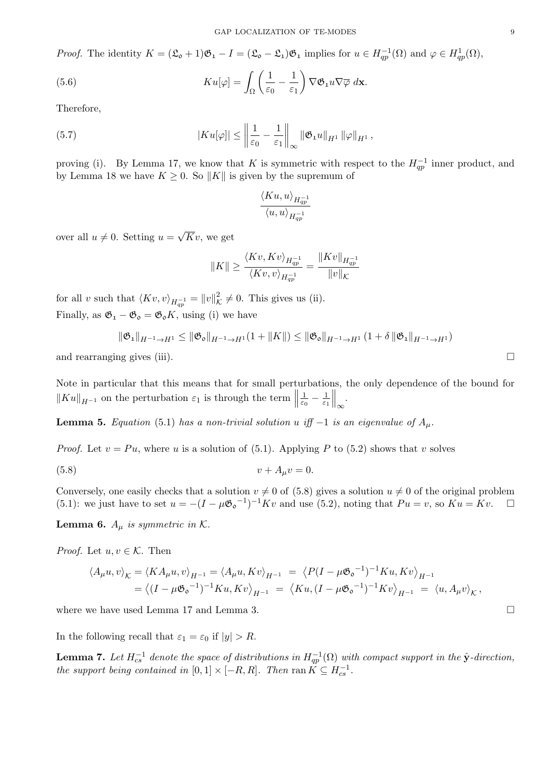*Proof.* The identity  $K = (\mathfrak{L}_{\mathfrak{d}} + 1)\mathfrak{G}_{1} - I = (\mathfrak{L}_{\mathfrak{d}} - \mathfrak{L}_{1})\mathfrak{G}_{1}$  implies for  $u \in H_{qp}^{-1}(\Omega)$  and  $\varphi \in H_{qp}^{1}(\Omega)$ ,

(5.6) 
$$
Ku[\varphi] = \int_{\Omega} \left( \frac{1}{\varepsilon_0} - \frac{1}{\varepsilon_1} \right) \nabla \mathfrak{G}_1 u \nabla \overline{\varphi} \, d\mathbf{x}.
$$

Therefore,

(5.7) 
$$
|Ku[\varphi]| \le \left\| \frac{1}{\varepsilon_0} - \frac{1}{\varepsilon_1} \right\|_{\infty} \left\| \mathfrak{G}_1 u \right\|_{H^1} \|\varphi\|_{H^1},
$$

proving (i). By Lemma 17, we know that K is symmetric with respect to the  $H_{qp}^{-1}$  inner product, and by Lemma 18 we have  $K \geq 0$ . So  $||K||$  is given by the supremum of

$$
\frac{\left\langle K u, u \right\rangle_{H^{-1}_{qp}}}{\left\langle u, u \right\rangle_{H^{-1}_{qp}}}
$$

over all  $u \neq 0$ . Setting  $u = \sqrt{K}v$ , we get

$$
||K|| \ge \frac{\langle Kv, Kv \rangle_{H_{qp}^{-1}}}{\langle Kv, v \rangle_{H_{qp}^{-1}}} = \frac{||Kv||_{H_{qp}^{-1}}}{||v||_{\mathcal{K}}}
$$

for all v such that  $\langle Kv, v \rangle_{H^{-1}_{qp}} = ||v||^2_{\mathcal{K}}$  $\chi^2 \neq 0$ . This gives us (ii). Finally, as  $\mathfrak{G}_1 - \mathfrak{G}_0 = \mathfrak{G}_0 K$ , using (i) we have

$$
\|\mathfrak{G}_{1}\|_{H^{-1}\to H^{1}}\leq\|\mathfrak{G}_{\mathfrak{d}}\|_{H^{-1}\to H^{1}}(1+\|K\|)\leq\|\mathfrak{G}_{\mathfrak{d}}\|_{H^{-1}\to H^{1}}\left(1+\delta\left\|\mathfrak{G}_{1}\right\|_{H^{-1}\to H^{1}}\right)
$$

and rearranging gives (iii).  $\Box$ 

Note in particular that this means that for small perturbations, the only dependence of the bound for  $||Ku||_{H^{-1}}$  on the perturbation  $\varepsilon_1$  is through the term  $||$ 1  $\frac{1}{\varepsilon_0}-\frac{1}{\varepsilon_1}$  $\varepsilon_1$  $\Big\|_{\infty}^{\frac{1}{\alpha}}$ .

**Lemma 5.** Equation (5.1) has a non-trivial solution u iff  $-1$  is an eigenvalue of  $A_\mu$ .

*Proof.* Let  $v = Pu$ , where u is a solution of (5.1). Applying P to (5.2) shows that v solves

$$
(5.8) \t\t v + A_{\mu}v = 0.
$$

Conversely, one easily checks that a solution  $v \neq 0$  of (5.8) gives a solution  $u \neq 0$  of the original problem (5.1): we just have to set  $u = -(I - \mu \mathfrak{G}_0^{-1})^{-1} K v$  and use (5.2), noting that  $Pu = v$ , so  $K u = K v$ . (5.1): we just have to set  $u = -(I - \mu \mathfrak{G}_{\mathfrak{d}}^{-1})^{-1} K v$  and use (5.2), noting that  $Pu = v$ , so  $K u = K v$ .  $\Box$ 

**Lemma 6.**  $A_{\mu}$  is symmetric in K.

*Proof.* Let  $u, v \in \mathcal{K}$ . Then

$$
\langle A_{\mu}u, v \rangle_{\mathcal{K}} = \langle KA_{\mu}u, v \rangle_{H^{-1}} = \langle A_{\mu}u, Kv \rangle_{H^{-1}} = \langle P(I - \mu \mathfrak{G}_{\mathfrak{d}}^{-1})^{-1}Ku, Kv \rangle_{H^{-1}} = \langle (I - \mu \mathfrak{G}_{\mathfrak{d}}^{-1})^{-1}Ku, Kv \rangle_{H^{-1}} = \langle Ku, (I - \mu \mathfrak{G}_{\mathfrak{d}}^{-1})^{-1}Kv \rangle_{H^{-1}} = \langle u, A_{\mu}v \rangle_{\mathcal{K}},
$$

where we have used Lemma 17 and Lemma 3.

In the following recall that  $\varepsilon_1 = \varepsilon_0$  if  $|y| > R$ .

**Lemma 7.** Let  $H_{cs}^{-1}$  denote the space of distributions in  $H_{qp}^{-1}(\Omega)$  with compact support in the  $\hat{\mathbf{y}}$ -direction, the support being contained in  $[0,1] \times [-R, R]$ . Then ran  $K \subseteq H_{cs}^{-1}$ .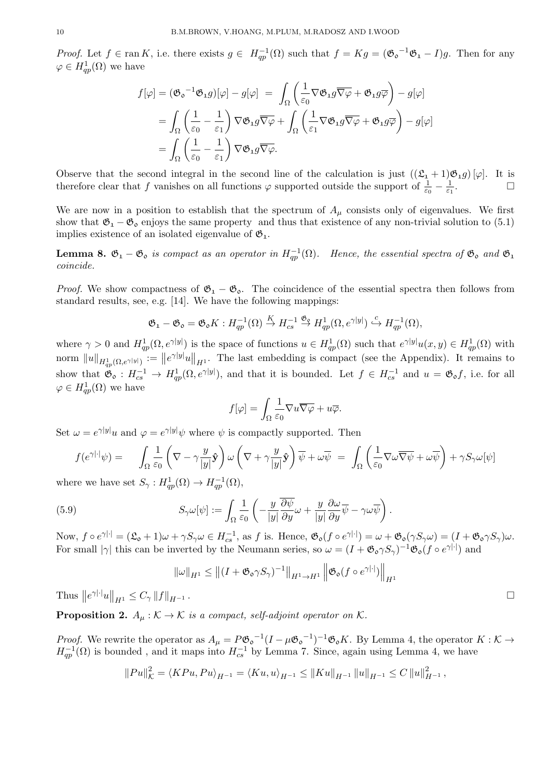Proof. Let  $f \in \text{ran } K$ , i.e. there exists  $g \in H_{qp}^{-1}(\Omega)$  such that  $f = Kg = (\mathfrak{G}_{\mathfrak{d}}^{-1}\mathfrak{G}_{\mathfrak{d}} - I)g$ . Then for any  $\varphi \in H_{qp}^{1}(\Omega)$  we have

$$
f[\varphi] = (\mathfrak{G}_{\mathfrak{d}}^{-1}\mathfrak{G}_{1}g)[\varphi] - g[\varphi] = \int_{\Omega} \left( \frac{1}{\varepsilon_{0}} \nabla \mathfrak{G}_{1}g \overline{\nabla \varphi} + \mathfrak{G}_{1}g \overline{\varphi} \right) - g[\varphi]
$$
  
= 
$$
\int_{\Omega} \left( \frac{1}{\varepsilon_{0}} - \frac{1}{\varepsilon_{1}} \right) \nabla \mathfrak{G}_{1}g \overline{\nabla \varphi} + \int_{\Omega} \left( \frac{1}{\varepsilon_{1}} \nabla \mathfrak{G}_{1}g \overline{\nabla \varphi} + \mathfrak{G}_{1}g \overline{\varphi} \right) - g[\varphi]
$$
  
= 
$$
\int_{\Omega} \left( \frac{1}{\varepsilon_{0}} - \frac{1}{\varepsilon_{1}} \right) \nabla \mathfrak{G}_{1}g \overline{\nabla \varphi}.
$$

Observe that the second integral in the second line of the calculation is just  $((\mathfrak{L}_1 + 1)\mathfrak{G}_1 g)[\varphi]$ . It is therefore clear that f vanishes on all functions  $\varphi$  supported outside the support of  $\frac{1}{\varepsilon_0} - \frac{1}{\varepsilon_1}$  $\varepsilon_1$  $\Box$ 

We are now in a position to establish that the spectrum of  $A_\mu$  consists only of eigenvalues. We first show that  $\mathfrak{G}_1 - \mathfrak{G}_0$  enjoys the same property and thus that existence of any non-trivial solution to (5.1) implies existence of an isolated eigenvalue of  $\mathfrak{G}_1$ .

**Lemma 8.**  $\mathfrak{G}_1 - \mathfrak{G}_0$  is compact as an operator in  $H_{qp}^{-1}(\Omega)$ . Hence, the essential spectra of  $\mathfrak{G}_0$  and  $\mathfrak{G}_1$ coincide.

*Proof.* We show compactness of  $\mathfrak{G}_1 - \mathfrak{G}_0$ . The coincidence of the essential spectra then follows from standard results, see, e.g. [14]. We have the following mappings:

$$
\mathfrak{G}_1 - \mathfrak{G}_0 = \mathfrak{G}_0 K : H_{qp}^{-1}(\Omega) \stackrel{K}{\to} H_{cs}^{-1} \stackrel{\mathfrak{G}_0}{\to} H_{qp}^1(\Omega, e^{\gamma |y|}) \stackrel{c}{\hookrightarrow} H_{qp}^{-1}(\Omega),
$$

where  $\gamma > 0$  and  $H_{qp}^{1}(\Omega, e^{\gamma |y|})$  is the space of functions  $u \in H_{qp}^{1}(\Omega)$  such that  $e^{\gamma |y|}u(x, y) \in H_{qp}^{1}(\Omega)$  with norm  $||u||_{H^1_{qp}(\Omega, e^{\gamma|y|})} := ||e^{\gamma|y|}u||_{H^1}$ . The last embedding is compact (see the Appendix). It remains to show that  $\mathfrak{G}_{\mathfrak{0}} : H^{-1}_{cs} \to H^1_{qp}(\Omega, e^{\gamma |y|}),$  and that it is bounded. Let  $f \in H^{-1}_{cs}$  and  $u = \mathfrak{G}_{\mathfrak{0}}f$ , i.e. for all  $\varphi \in H_{qp}^{1}(\Omega)$  we have

$$
f[\varphi] = \int_{\Omega} \frac{1}{\varepsilon_0} \nabla u \overline{\nabla \varphi} + u \overline{\varphi}.
$$

Set  $\omega = e^{\gamma |y|} u$  and  $\varphi = e^{\gamma |y|} \psi$  where  $\psi$  is compactly supported. Then

$$
f(e^{\gamma|\cdot|}\psi) = \int_{\Omega} \frac{1}{\varepsilon_0} \left( \nabla - \gamma \frac{y}{|y|} \hat{\mathbf{y}} \right) \omega \left( \nabla + \gamma \frac{y}{|y|} \hat{\mathbf{y}} \right) \overline{\psi} + \omega \overline{\psi} = \int_{\Omega} \left( \frac{1}{\varepsilon_0} \nabla \omega \overline{\nabla \psi} + \omega \overline{\psi} \right) + \gamma S_{\gamma} \omega[\psi]
$$

where we have set  $S_{\gamma}: H_{qp}^{1}(\Omega) \to H_{qp}^{-1}(\Omega)$ ,

(5.9) 
$$
S_{\gamma}\omega[\psi] := \int_{\Omega} \frac{1}{\varepsilon_0} \left( -\frac{y}{|y|} \frac{\overline{\partial}\psi}{\partial y}\omega + \frac{y}{|y|} \frac{\partial\omega}{\partial y}\overline{\psi} - \gamma\omega\overline{\psi} \right).
$$

Now,  $f \circ e^{\gamma |\cdot|} = (\mathfrak{L}_{o} + 1)\omega + \gamma S_{\gamma}\omega \in H_{cs}^{-1}$ , as f is. Hence,  $\mathfrak{G}_{o}(f \circ e^{\gamma |\cdot|}) = \omega + \mathfrak{G}_{o}(\gamma S_{\gamma}\omega) = (I + \mathfrak{G}_{o}\gamma S_{\gamma})\omega$ . For small  $|\gamma|$  this can be inverted by the Neumann series, so  $\omega = (I + \mathfrak{G}_{\mathfrak{d}} \gamma S_{\gamma})^{-1} \mathfrak{G}_{\mathfrak{d}}(f \circ e^{\gamma |\cdot|})$  and

$$
\|\omega\|_{H^1} \le \left\| (I + \mathfrak{G}_\mathfrak{d} \gamma S_\gamma)^{-1} \right\|_{H^1 \to H^1} \left\| \mathfrak{G}_\mathfrak{d}(f \circ e^{\gamma |\cdot|}) \right\|_{H^1}
$$

Thus  $||e^{\gamma |\cdot|}u||_{H^1} \leq C_\gamma ||f||_{H^{-1}}$ .

**Proposition 2.**  $A_\mu : \mathcal{K} \to \mathcal{K}$  is a compact, self-adjoint operator on  $\mathcal{K}$ .

*Proof.* We rewrite the operator as  $A_{\mu} = P \mathfrak{G}_{\mathfrak{d}}^{-1} (I - \mu \mathfrak{G}_{\mathfrak{d}}^{-1})^{-1} \mathfrak{G}_{\mathfrak{d}} K$ . By Lemma 4, the operator  $K : \mathcal{K} \to$  $H_{qp}^{-1}(\Omega)$  is bounded, and it maps into  $H_{cs}^{-1}$  by Lemma 7. Since, again using Lemma 4, we have

$$
||Pu||_{\mathcal{K}}^2 = \langle KPu, Pu \rangle_{H^{-1}} = \langle Ku, u \rangle_{H^{-1}} \le ||Ku||_{H^{-1}} ||u||_{H^{-1}} \le C ||u||_{H^{-1}}^2,
$$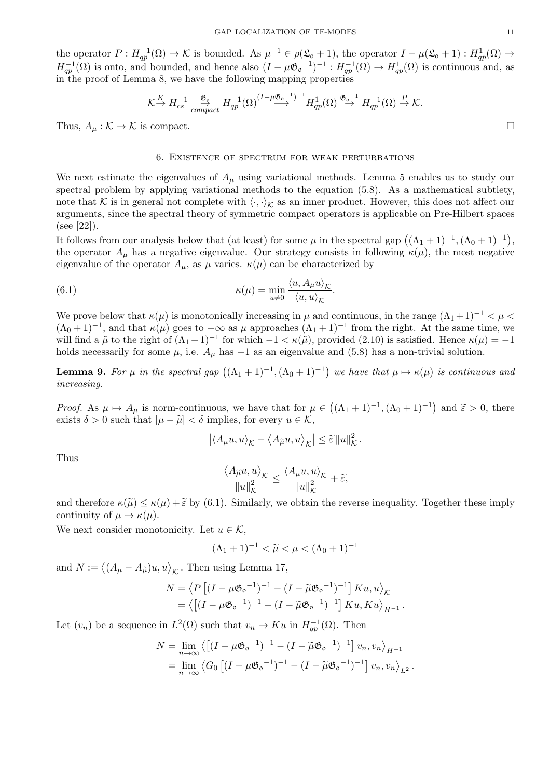the operator  $P: H_{qp}^{-1}(\Omega) \to \mathcal{K}$  is bounded. As  $\mu^{-1} \in \rho(\mathfrak{L}_{\mathfrak{d}} + 1)$ , the operator  $I - \mu(\mathfrak{L}_{\mathfrak{d}} + 1) : H_{qp}^{1}(\Omega) \to$  $H_{qp}^{-1}(\Omega)$  is onto, and bounded, and hence also  $(I - \mu \mathfrak{G}_{\mathfrak{d}}^{-1})^{-1} : H_{qp}^{-1}(\Omega) \to H_{qp}^{1}(\Omega)$  is continuous and, as in the proof of Lemma 8, we have the following mapping properties

$$
\mathcal{K} \xrightarrow{K} H_{cs}^{-1} \xrightarrow{\mathfrak{G}_{\mathfrak{S}}} H_{qp}^{-1}(\Omega)^{(I-\mu \underline{\mathfrak{G}_{\mathfrak{O}}}^{-1})^{-1}} H_{qp}^{1}(\Omega) \xrightarrow{\mathfrak{G}_{\mathfrak{O}}} H_{qp}^{-1}(\Omega) \xrightarrow{P} \mathcal{K}.
$$

Thus,  $A_{\mu}: \mathcal{K} \to \mathcal{K}$  is compact.

#### 6. Existence of spectrum for weak perturbations

We next estimate the eigenvalues of  $A_\mu$  using variational methods. Lemma 5 enables us to study our spectral problem by applying variational methods to the equation (5.8). As a mathematical subtlety, note that K is in general not complete with  $\langle \cdot, \cdot \rangle_{\mathcal{K}}$  as an inner product. However, this does not affect our arguments, since the spectral theory of symmetric compact operators is applicable on Pre-Hilbert spaces (see [22]).

It follows from our analysis below that (at least) for some  $\mu$  in the spectral gap  $((\Lambda_1 + 1)^{-1}, (\Lambda_0 + 1)^{-1})$ , the operator  $A_\mu$  has a negative eigenvalue. Our strategy consists in following  $\kappa(\mu)$ , the most negative eigenvalue of the operator  $A_{\mu}$ , as  $\mu$  varies.  $\kappa(\mu)$  can be characterized by

(6.1) 
$$
\kappa(\mu) = \min_{u \neq 0} \frac{\langle u, A_{\mu} u \rangle_{\mathcal{K}}}{\langle u, u \rangle_{\mathcal{K}}}.
$$

We prove below that  $\kappa(\mu)$  is monotonically increasing in  $\mu$  and continuous, in the range  $(\Lambda_1 + 1)^{-1} < \mu <$  $(\Lambda_0 + 1)^{-1}$ , and that  $\kappa(\mu)$  goes to  $-\infty$  as  $\mu$  approaches  $(\Lambda_1 + 1)^{-1}$  from the right. At the same time, we will find a  $\tilde{\mu}$  to the right of  $(\Lambda_1 + 1)^{-1}$  for which  $-1 < \kappa(\tilde{\mu})$ , provided  $(2.10)$  is satisfied. Hence  $\kappa(\mu) = -1$ holds necessarily for some  $\mu$ , i.e.  $A_{\mu}$  has  $-1$  as an eigenvalue and (5.8) has a non-trivial solution.

**Lemma 9.** For  $\mu$  in the spectral gap  $((\Lambda_1 + 1)^{-1}, (\Lambda_0 + 1)^{-1})$  we have that  $\mu \mapsto \kappa(\mu)$  is continuous and increasing.

Proof. As  $\mu \mapsto A_{\mu}$  is norm-continuous, we have that for  $\mu \in ((\Lambda_1 + 1)^{-1}, (\Lambda_0 + 1)^{-1})$  and  $\tilde{\varepsilon} > 0$ , there exists  $\delta > 0$  such that  $|\mu - \tilde{\mu}| < \delta$  implies, for every  $u \in \mathcal{K}$ ,

$$
\left| \langle A_{\mu} u, u \rangle_{\mathcal{K}} - \langle A_{\widetilde{\mu}} u, u \rangle_{\mathcal{K}} \right| \leq \widetilde{\varepsilon} \| u \|_{\mathcal{K}}^2.
$$

Thus

$$
\frac{\langle A_{\widetilde{\mu}}u,u\rangle_{\mathcal{K}}}{\|u\|_{\mathcal{K}}^2}\leq \frac{\langle A_{\mu}u,u\rangle_{\mathcal{K}}}{\|u\|_{\mathcal{K}}^2}+\widetilde{\varepsilon},
$$

and therefore  $\kappa(\tilde{\mu}) \leq \kappa(\mu) + \tilde{\varepsilon}$  by (6.1). Similarly, we obtain the reverse inequality. Together these imply continuity of  $\mu \mapsto \kappa(\mu)$ .

We next consider monotonicity. Let  $u \in \mathcal{K}$ ,

$$
(\Lambda_1 + 1)^{-1} < \widetilde{\mu} < \mu < (\Lambda_0 + 1)^{-1}
$$

and  $N := \langle (A_\mu - A_{\widetilde{\mu}})u, u \rangle_{\mathcal{K}}$ . Then using Lemma 17,

$$
N = \langle P\left[ (I - \mu \mathfrak{G}_{\mathfrak{d}}^{-1})^{-1} - (I - \widetilde{\mu} \mathfrak{G}_{\mathfrak{d}}^{-1})^{-1} \right] K u, u \rangle_{\mathcal{K}}
$$
  
=  $\langle \left[ (I - \mu \mathfrak{G}_{\mathfrak{d}}^{-1})^{-1} - (I - \widetilde{\mu} \mathfrak{G}_{\mathfrak{d}}^{-1})^{-1} \right] K u, K u \rangle_{H^{-1}}.$ 

Let  $(v_n)$  be a sequence in  $L^2(\Omega)$  such that  $v_n \to Ku$  in  $H_{qp}^{-1}(\Omega)$ . Then

$$
N = \lim_{n \to \infty} \left\langle \left[ (I - \mu \mathfrak{G}_{\mathfrak{d}}^{-1})^{-1} - (I - \widetilde{\mu} \mathfrak{G}_{\mathfrak{d}}^{-1})^{-1} \right] v_n, v_n \right\rangle_{H^{-1}}
$$
  
= 
$$
\lim_{n \to \infty} \left\langle G_0 \left[ (I - \mu \mathfrak{G}_{\mathfrak{d}}^{-1})^{-1} - (I - \widetilde{\mu} \mathfrak{G}_{\mathfrak{d}}^{-1})^{-1} \right] v_n, v_n \right\rangle_{L^2}.
$$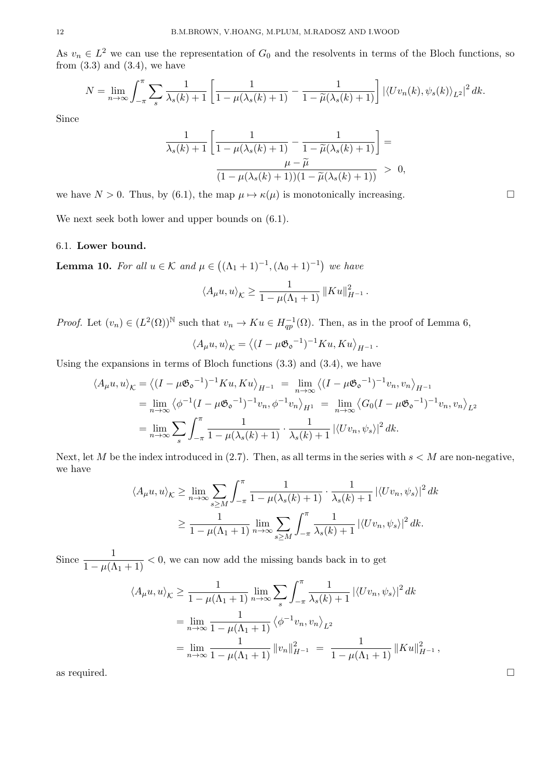As  $v_n \in L^2$  we can use the representation of  $G_0$  and the resolvents in terms of the Bloch functions, so from  $(3.3)$  and  $(3.4)$ , we have

$$
N = \lim_{n \to \infty} \int_{-\pi}^{\pi} \sum_{s} \frac{1}{\lambda_s(k) + 1} \left[ \frac{1}{1 - \mu(\lambda_s(k) + 1)} - \frac{1}{1 - \widetilde{\mu}(\lambda_s(k) + 1)} \right] \left| \langle Uv_n(k), \psi_s(k) \rangle_{L^2} \right|^2 dk.
$$

Since

$$
\frac{1}{\lambda_s(k)+1} \left[ \frac{1}{1-\mu(\lambda_s(k)+1)} - \frac{1}{1-\widetilde{\mu}(\lambda_s(k)+1)} \right] =
$$
  

$$
\frac{\mu-\widetilde{\mu}}{(1-\mu(\lambda_s(k)+1))(1-\widetilde{\mu}(\lambda_s(k)+1))} > 0,
$$

we have  $N > 0$ . Thus, by (6.1), the map  $\mu \mapsto \kappa(\mu)$  is monotonically increasing.

We next seek both lower and upper bounds on  $(6.1)$ .

#### 6.1. Lower bound.

**Lemma 10.** For all  $u \in \mathcal{K}$  and  $\mu \in ((\Lambda_1 + 1)^{-1}, (\Lambda_0 + 1)^{-1})$  we have

$$
\langle A_{\mu}u, u \rangle_{\mathcal{K}} \ge \frac{1}{1 - \mu(\Lambda_1 + 1)} ||Ku||_{H^{-1}}^2.
$$

*Proof.* Let  $(v_n) \in (L^2(\Omega))^{\mathbb{N}}$  such that  $v_n \to Ku \in H_{qp}^{-1}(\Omega)$ . Then, as in the proof of Lemma 6,

$$
\langle A_{\mu}u, u \rangle_{\mathcal{K}} = \langle (I - \mu \mathfrak{G}_{\mathfrak{d}}^{-1})^{-1}Ku, Ku \rangle_{H^{-1}}.
$$

Using the expansions in terms of Bloch functions (3.3) and (3.4), we have

$$
\langle A_{\mu}u, u \rangle_{\mathcal{K}} = \langle (I - \mu \mathfrak{G}_{\mathfrak{d}})^{-1} \cdot K u, K u \rangle_{H^{-1}} = \lim_{n \to \infty} \langle (I - \mu \mathfrak{G}_{\mathfrak{d}})^{-1} \cdot v_n, v_n \rangle_{H^{-1}}
$$
  
= 
$$
\lim_{n \to \infty} \langle \phi^{-1} (I - \mu \mathfrak{G}_{\mathfrak{d}})^{-1} \cdot v_n, \phi^{-1} v_n \rangle_{H^1} = \lim_{n \to \infty} \langle G_0 (I - \mu \mathfrak{G}_{\mathfrak{d}})^{-1} \cdot v_n, v_n \rangle_{L^2}
$$
  
= 
$$
\lim_{n \to \infty} \sum_{s} \int_{-\pi}^{\pi} \frac{1}{1 - \mu(\lambda_s(k) + 1)} \cdot \frac{1}{\lambda_s(k) + 1} |\langle U v_n, \psi_s \rangle|^2 dk.
$$

Next, let M be the index introduced in  $(2.7)$ . Then, as all terms in the series with  $s < M$  are non-negative, we have

$$
\langle A_{\mu}u, u \rangle_{\mathcal{K}} \ge \lim_{n \to \infty} \sum_{s \ge M} \int_{-\pi}^{\pi} \frac{1}{1 - \mu(\lambda_s(k) + 1)} \cdot \frac{1}{\lambda_s(k) + 1} |\langle Uv_n, \psi_s \rangle|^2 dk
$$
  

$$
\ge \frac{1}{1 - \mu(\Lambda_1 + 1)} \lim_{n \to \infty} \sum_{s \ge M} \int_{-\pi}^{\pi} \frac{1}{\lambda_s(k) + 1} |\langle Uv_n, \psi_s \rangle|^2 dk.
$$

Since  $\frac{1}{1 - \mu(\Lambda_1 + 1)} < 0$ , we can now add the missing bands back in to get

$$
\langle A_{\mu}u, u \rangle_{\mathcal{K}} \ge \frac{1}{1 - \mu(\Lambda_1 + 1)} \lim_{n \to \infty} \sum_{s} \int_{-\pi}^{\pi} \frac{1}{\lambda_s(k) + 1} |\langle Uv_n, \psi_s \rangle|^2 dk
$$
  
= 
$$
\lim_{n \to \infty} \frac{1}{1 - \mu(\Lambda_1 + 1)} \langle \phi^{-1}v_n, v_n \rangle_{L^2}
$$
  
= 
$$
\lim_{n \to \infty} \frac{1}{1 - \mu(\Lambda_1 + 1)} ||v_n||_{H^{-1}}^2 = \frac{1}{1 - \mu(\Lambda_1 + 1)} ||Ku||_{H^{-1}}^2,
$$

as required.  $\Box$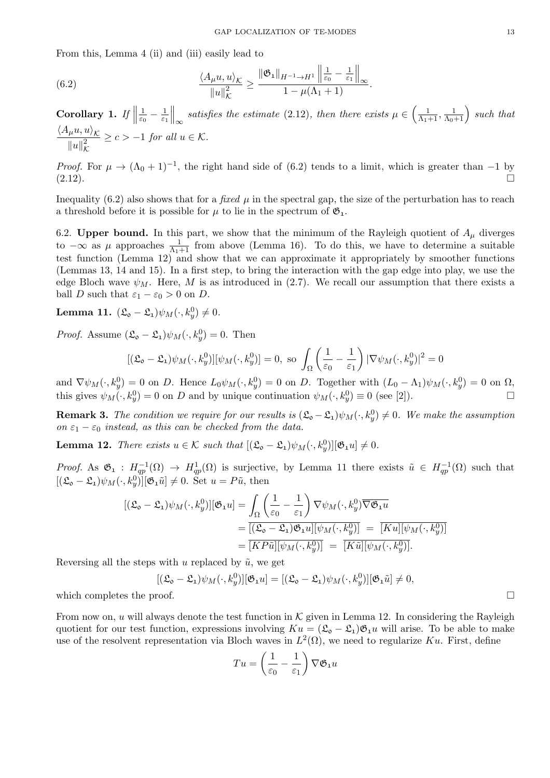From this, Lemma 4 (ii) and (iii) easily lead to

(6.2) 
$$
\frac{\langle A_{\mu}u, u \rangle_{\mathcal{K}}}{\|u\|_{\mathcal{K}}^{2}} \geq \frac{\|\mathfrak{G}_{1}\|_{H^{-1} \to H^{1}}}{1 - \mu(\Lambda_{1} + 1)} \frac{\left\|\frac{1}{\varepsilon_{0}} - \frac{1}{\varepsilon_{1}}\right\|_{\infty}}{1 - \mu(\Lambda_{1} + 1)}.
$$

Corollary 1. If  $\parallel$ 1  $\frac{1}{\varepsilon_0}-\frac{1}{\varepsilon_1}$  $\varepsilon_1$  $\left\| \_\infty \right\}$  satisfies the estimate (2.12), then there exists  $\mu \in \left( \frac{1}{\Lambda_1 + 1}, \frac{1}{\Lambda_0 + 1} \right)$  such that  $\left\langle A_{\mu}u,u\right\rangle _{\mathcal{K}}$  $||u||^2_{k}$ K  $\geq c > -1$  for all  $u \in \mathcal{K}$ .

Proof. For  $\mu \to (\Lambda_0 + 1)^{-1}$ , the right hand side of (6.2) tends to a limit, which is greater than -1 by  $(2.12).$ 

Inequality (6.2) also shows that for a fixed  $\mu$  in the spectral gap, the size of the perturbation has to reach a threshold before it is possible for  $\mu$  to lie in the spectrum of  $\mathfrak{G}_1$ .

6.2. Upper bound. In this part, we show that the minimum of the Rayleigh quotient of  $A_\mu$  diverges to  $-\infty$  as  $\mu$  approaches  $\frac{1}{\Lambda_1+1}$  from above (Lemma 16). To do this, we have to determine a suitable test function (Lemma 12) and show that we can approximate it appropriately by smoother functions (Lemmas 13, 14 and 15). In a first step, to bring the interaction with the gap edge into play, we use the edge Bloch wave  $\psi_M$ . Here, M is as introduced in (2.7). We recall our assumption that there exists a ball D such that  $\varepsilon_1 - \varepsilon_0 > 0$  on D.

Lemma 11.  $(\mathfrak{L}_{\mathfrak{0}} - \mathfrak{L}_{1}) \psi_M(\cdot, k_y^0) \neq 0$ .

*Proof.* Assume  $(\mathfrak{L}_{\mathfrak{0}} - \mathfrak{L}_{\mathfrak{1}})\psi_M(\cdot, k_y^0) = 0$ . Then

$$
[(\mathfrak{L}_{\mathfrak{0}} - \mathfrak{L}_{\mathfrak{1}})\psi_M(\cdot, k_y^0)][\psi_M(\cdot, k_y^0)] = 0, \text{ so } \int_{\Omega} \left(\frac{1}{\varepsilon_0} - \frac{1}{\varepsilon_1}\right) |\nabla \psi_M(\cdot, k_y^0)|^2 = 0
$$

and  $\nabla \psi_M(\cdot, k_y^0) = 0$  on D. Hence  $L_0 \psi_M(\cdot, k_y^0) = 0$  on D. Together with  $(L_0 - \Lambda_1) \psi_M(\cdot, k_y^0) = 0$  on  $\Omega$ , this gives  $\psi_M(\cdot, k_y^0) = 0$  on D and by unique continuation  $\psi_M(\cdot, k_y^0) \equiv 0$  (see [2]).

**Remark 3.** The condition we require for our results is  $(\mathfrak{L}_{\mathfrak{d}} - \mathfrak{L}_{\mathfrak{1}})\psi_M(\cdot, k_y^0) \neq 0$ . We make the assumption on  $\varepsilon_1 - \varepsilon_0$  instead, as this can be checked from the data.

**Lemma 12.** There exists  $u \in \mathcal{K}$  such that  $[(\mathfrak{L}_{o} - \mathfrak{L}_{1})\psi_{M}(\cdot, k_{y}^{0})][\mathfrak{G}_{1}u] \neq 0$ .

Proof. As  $\mathfrak{G}_1$  :  $H^{-1}_{qp}(\Omega) \to H^1_{qp}(\Omega)$  is surjective, by Lemma 11 there exists  $\tilde{u} \in H^{-1}_{qp}(\Omega)$  such that  $[(\mathfrak{L}_{\mathfrak{0}} - \mathfrak{L}_{1}) \psi_{M}(\cdot, k_{y}^{0})] [\mathfrak{G}_{1} \tilde{u}] \neq 0$ . Set  $u = P \tilde{u}$ , then

$$
\begin{split} [(\mathfrak{L}_{\mathfrak{0}} - \mathfrak{L}_{\mathfrak{1}}) \psi_M(\cdot,k_y^0)] [\mathfrak{G}_{\mathfrak{1}} u] &= \int_{\Omega} \left( \frac{1}{\varepsilon_0} - \frac{1}{\varepsilon_1} \right) \nabla \psi_M(\cdot,k_y^0) \overline{\nabla \mathfrak{G}_{\mathfrak{1}} u} \\ &= \overline{[(\mathfrak{L}_{\mathfrak{0}} - \mathfrak{L}_{\mathfrak{1}}) \mathfrak{G}_{\mathfrak{1}} u] [\psi_M(\cdot,k_y^0)]} \, = \, \overline{[K u] [\psi_M(\cdot,k_y^0)]} \\ &= \overline{[K P \tilde{u}] [\psi_M(\cdot,k_y^0)]} \, = \, \overline{[K \tilde{u}] [\psi_M(\cdot,k_y^0)]}. \end{split}
$$

Reversing all the steps with u replaced by  $\tilde{u}$ , we get

$$
[(\mathfrak{L}_{\mathfrak{d}} - \mathfrak{L}_{\mathfrak{1}})\psi_M(\cdot, k_y^0)][\mathfrak{G}_{\mathfrak{1}} u] = [(\mathfrak{L}_{\mathfrak{d}} - \mathfrak{L}_{\mathfrak{1}})\psi_M(\cdot, k_y^0)][\mathfrak{G}_{\mathfrak{1}}\tilde{u}] \neq 0,
$$

which completes the proof.  $\Box$ 

From now on, u will always denote the test function in  $K$  given in Lemma 12. In considering the Rayleigh quotient for our test function, expressions involving  $Ku = (\mathfrak{L}_{o} - \mathfrak{L}_{1})\mathfrak{G}_{1}u$  will arise. To be able to make use of the resolvent representation via Bloch waves in  $L^2(\Omega)$ , we need to regularize Ku. First, define

$$
Tu = \left(\frac{1}{\varepsilon_0} - \frac{1}{\varepsilon_1}\right) \nabla \mathfrak{G}_1 u
$$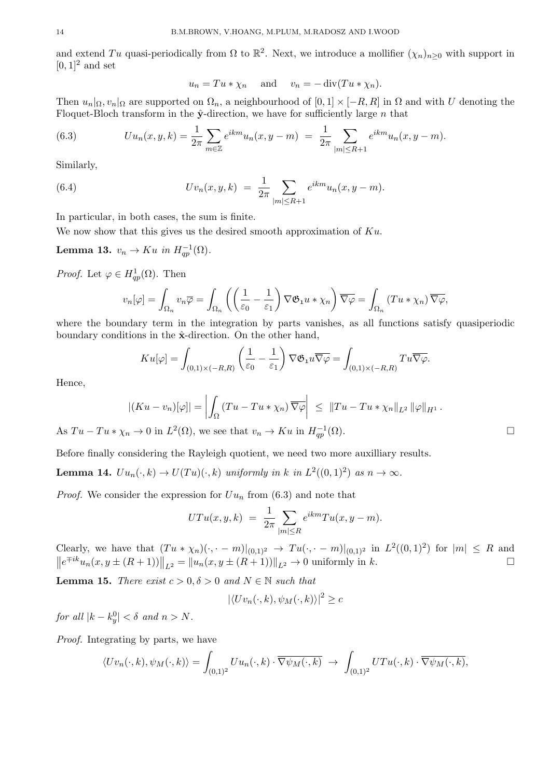and extend Tu quasi-periodically from  $\Omega$  to  $\mathbb{R}^2$ . Next, we introduce a mollifier  $(\chi_n)_{n\geq 0}$  with support in  $[0, 1]^2$  and set

$$
u_n = Tu * \chi_n
$$
 and  $v_n = -\operatorname{div}(Tu * \chi_n)$ .

Then  $u_n|_{\Omega}, v_n|_{\Omega}$  are supported on  $\Omega_n$ , a neighbourhood of  $[0, 1] \times [-R, R]$  in  $\Omega$  and with U denoting the Floquet-Bloch transform in the  $\hat{y}$ -direction, we have for sufficiently large n that

(6.3) 
$$
Uu_n(x,y,k) = \frac{1}{2\pi} \sum_{m \in \mathbb{Z}} e^{ikm} u_n(x,y-m) = \frac{1}{2\pi} \sum_{|m| \le R+1} e^{ikm} u_n(x,y-m).
$$

Similarly,

(6.4) 
$$
Uv_n(x,y,k) = \frac{1}{2\pi} \sum_{|m| \le R+1} e^{ikm} u_n(x,y-m).
$$

In particular, in both cases, the sum is finite.

We now show that this gives us the desired smooth approximation of  $Ku$ .

Lemma 13.  $v_n \to Ku$  in  $H^{-1}_{qp}(\Omega)$ .

*Proof.* Let  $\varphi \in H_{qp}^{1}(\Omega)$ . Then

$$
v_n[\varphi] = \int_{\Omega_n} v_n \overline{\varphi} = \int_{\Omega_n} \left( \left( \frac{1}{\varepsilon_0} - \frac{1}{\varepsilon_1} \right) \nabla \mathfrak{G}_1 u \ast \chi_n \right) \overline{\nabla \varphi} = \int_{\Omega_n} \left( T u \ast \chi_n \right) \overline{\nabla \varphi},
$$

where the boundary term in the integration by parts vanishes, as all functions satisfy quasiperiodic boundary conditions in the  $\hat{\mathbf{x}}$ -direction. On the other hand,

$$
K u[\varphi] = \int_{(0,1)\times(-R,R)} \left(\frac{1}{\varepsilon_0} - \frac{1}{\varepsilon_1}\right) \nabla \mathfrak{G}_1 u \overline{\nabla \varphi} = \int_{(0,1)\times(-R,R)} Tu \overline{\nabla \varphi}.
$$

Hence,

$$
|(Ku - v_n)[\varphi]| = \left| \int_{\Omega} (Tu - Tu * \chi_n) \overline{\nabla \varphi} \right| \leq ||Tu - Tu * \chi_n||_{L^2} ||\varphi||_{H^1}.
$$

As  $Tu - Tu * \chi_n \to 0$  in  $L^2(\Omega)$ , we see that  $v_n \to Ku$  in  $H^{-1}_{qp}(\Omega)$ .

Before finally considering the Rayleigh quotient, we need two more auxilliary results.

**Lemma 14.**  $Uu_n(\cdot,k) \to U(Tu)(\cdot,k)$  uniformly in k in  $L^2((0,1)^2)$  as  $n \to \infty$ .

*Proof.* We consider the expression for  $Uu_n$  from (6.3) and note that

$$
UTu(x,y,k) = \frac{1}{2\pi} \sum_{|m| \le R} e^{ikm} Tu(x,y-m).
$$

Clearly, we have that  $(Tu * \chi_n)(\cdot, \cdot - m)|_{(0,1)^2} \to Tu(\cdot, \cdot - m)|_{(0,1)^2}$  in  $L^2((0,1)^2)$  for  $|m| \leq R$  and  $||e^{\mp ik}u_n(x, y \pm (R+1))||_{L^2} = ||u_n(x, y \pm (R+1))||_{L^2} \to 0$  uniformly in k.

**Lemma 15.** There exist  $c > 0, \delta > 0$  and  $N \in \mathbb{N}$  such that

$$
|\langle Uv_n(\cdot,k), \psi_M(\cdot,k)\rangle|^2 \geq c
$$

for all  $|k - k_y^0| < \delta$  and  $n > N$ .

Proof. Integrating by parts, we have

$$
\langle Uv_n(\cdot,k),\psi_M(\cdot,k)\rangle = \int_{(0,1)^2} Uu_n(\cdot,k)\cdot \overline{\nabla \psi_M(\cdot,k)} \rightarrow \int_{(0,1)^2} UTu(\cdot,k)\cdot \overline{\nabla \psi_M(\cdot,k)},
$$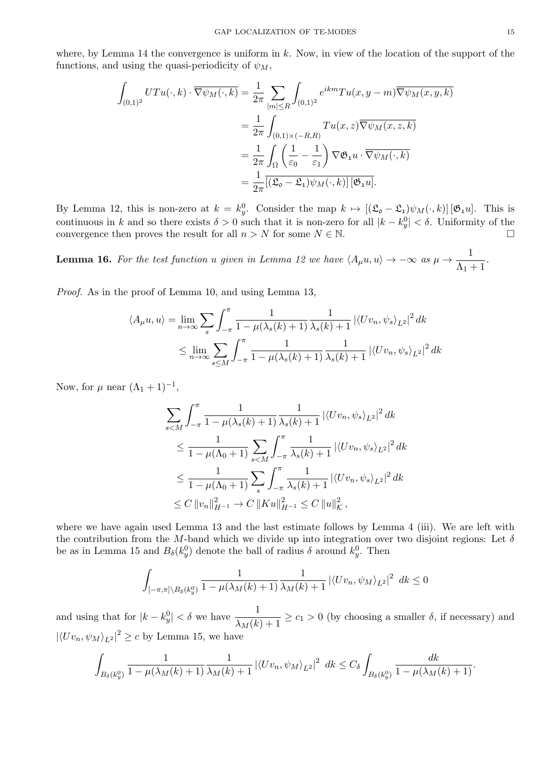where, by Lemma 14 the convergence is uniform in  $k$ . Now, in view of the location of the support of the functions, and using the quasi-periodicity of  $\psi_M$ ,

$$
\int_{(0,1)^2} UTu(\cdot,k) \cdot \overline{\nabla \psi_M(\cdot,k)} = \frac{1}{2\pi} \sum_{|m| \le R} \int_{(0,1)^2} e^{ikm} Tu(x,y-m) \overline{\nabla \psi_M(x,y,k)}
$$

$$
= \frac{1}{2\pi} \int_{(0,1) \times (-R,R)} Tu(x,z) \overline{\nabla \psi_M(x,z,k)}
$$

$$
= \frac{1}{2\pi} \int_{\Omega} \left(\frac{1}{\varepsilon_0} - \frac{1}{\varepsilon_1}\right) \nabla \mathfrak{G}_1 u \cdot \overline{\nabla \psi_M(\cdot,k)}
$$

$$
= \frac{1}{2\pi} \overline{[(\mathfrak{L}_0 - \mathfrak{L}_1)\psi_M(\cdot,k)] [\mathfrak{G}_1 u]}.
$$

By Lemma 12, this is non-zero at  $k = k_y^0$ . Consider the map  $k \mapsto [(\mathfrak{L}_{\mathfrak{d}} - \mathfrak{L}_{1})\psi_M(\cdot, k)][\mathfrak{G}_1u]$ . This is continuous in k and so there exists  $\delta > 0$  such that it is non-zero for all  $|k - k_y^0| < \delta$ . Uniformity of the convergence then proves the result for all  $n > N$  for some  $N \in \mathbb{N}$ .

**Lemma 16.** For the test function u given in Lemma 12 we have  $\langle A_\mu u, u \rangle \to -\infty$  as  $\mu \to \frac{1}{\Lambda_{1,2}}$  $\frac{1}{\Lambda_1+1}$ .

Proof. As in the proof of Lemma 10, and using Lemma 13,

$$
\langle A_{\mu}u, u \rangle = \lim_{n \to \infty} \sum_{s} \int_{-\pi}^{\pi} \frac{1}{1 - \mu(\lambda_s(k) + 1)} \frac{1}{\lambda_s(k) + 1} |\langle Uv_n, \psi_s \rangle_{L^2}|^2 dk
$$
  

$$
\leq \lim_{n \to \infty} \sum_{s \leq M} \int_{-\pi}^{\pi} \frac{1}{1 - \mu(\lambda_s(k) + 1)} \frac{1}{\lambda_s(k) + 1} |\langle Uv_n, \psi_s \rangle_{L^2}|^2 dk
$$

Now, for  $\mu$  near  $(\Lambda_1 + 1)^{-1}$ ,

$$
\sum_{s  
\n
$$
\leq \frac{1}{1 - \mu(\Lambda_0 + 1)} \sum_{s  
\n
$$
\leq \frac{1}{1 - \mu(\Lambda_0 + 1)} \sum_s \int_{-\pi}^{\pi} \frac{1}{\lambda_s(k) + 1} |\langle Uv_n, \psi_s \rangle_{L^2}|^2 dk
$$
  
\n
$$
\leq C ||v_n||_{H^{-1}}^2 \to C ||Ku||_{H^{-1}}^2 \leq C ||u||_{K}^2,
$$
$$
$$

where we have again used Lemma 13 and the last estimate follows by Lemma 4 (iii). We are left with the contribution from the M-band which we divide up into integration over two disjoint regions: Let  $\delta$ be as in Lemma 15 and  $B_{\delta}(k_y^0)$  denote the ball of radius  $\delta$  around  $k_y^0$ . Then

$$
\int_{[-\pi,\pi]\backslash B_{\delta}(k_y^0)} \frac{1}{1-\mu(\lambda_M(k)+1)} \frac{1}{\lambda_M(k)+1} |\langle Uv_n, \psi_M \rangle_{L^2}|^2 dk \le 0
$$

and using that for  $|k - k_y^0| < \delta$  we have  $\frac{1}{\lambda_M(k) + 1} \ge c_1 > 0$  (by choosing a smaller  $\delta$ , if necessary) and  $|\langle Uv_n, \psi_M \rangle_{L^2}|^2 \ge c$  by Lemma 15, we have

$$
\int_{B_{\delta}(k_y^0)} \frac{1}{1-\mu(\lambda_M(k)+1)} \frac{1}{\lambda_M(k)+1} \left| \langle Uv_n, \psi_M \rangle_{L^2} \right|^2 \ dk \le C_{\delta} \int_{B_{\delta}(k_y^0)} \frac{dk}{1-\mu(\lambda_M(k)+1)}.
$$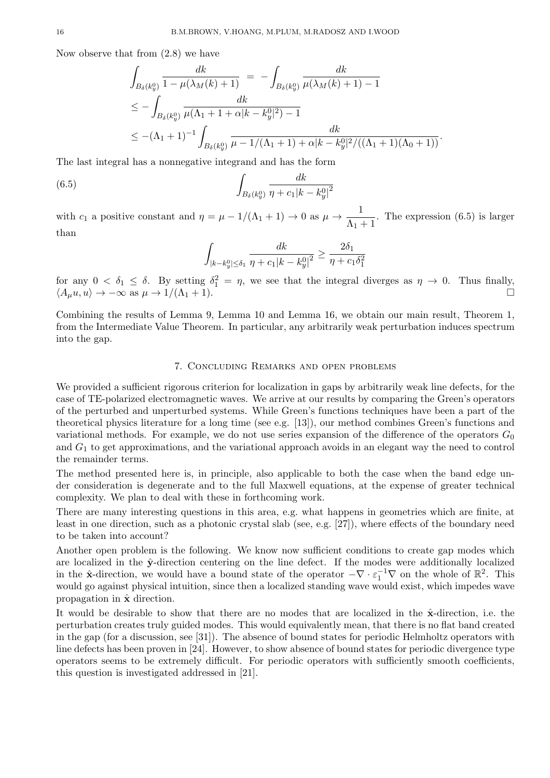Now observe that from (2.8) we have

$$
\int_{B_{\delta}(k_y^0)} \frac{dk}{1 - \mu(\lambda_M(k) + 1)} = -\int_{B_{\delta}(k_y^0)} \frac{dk}{\mu(\lambda_M(k) + 1) - 1}
$$
\n
$$
\leq -\int_{B_{\delta}(k_y^0)} \frac{dk}{\mu(\Lambda_1 + 1 + \alpha |k - k_y^0|^2) - 1}
$$
\n
$$
\leq -(\Lambda_1 + 1)^{-1} \int_{B_{\delta}(k_y^0)} \frac{dk}{\mu - 1/(\Lambda_1 + 1) + \alpha |k - k_y^0|^2/((\Lambda_1 + 1)(\Lambda_0 + 1))}.
$$

The last integral has a nonnegative integrand and has the form

(6.5) 
$$
\int_{B_{\delta}(k_y^0)} \frac{dk}{\eta + c_1|k - k_y^0|^2}
$$

with  $c_1$  a positive constant and  $\eta = \mu - 1/(\Lambda_1 + 1) \rightarrow 0$  as  $\mu \rightarrow \frac{1}{\Lambda_1}$  $\frac{1}{\Lambda_1+1}$ . The expression (6.5) is larger than

$$
\int_{|k-k_y^0| \le \delta_1} \frac{dk}{\eta + c_1 |k - k_y^0|^2} \ge \frac{2\delta_1}{\eta + c_1 \delta_1^2}
$$

for any  $0 < \delta_1 \leq \delta$ . By setting  $\delta_1^2 = \eta$ , we see that the integral diverges as  $\eta \to 0$ . Thus finally,  $\langle A_\mu u, u \rangle \to -\infty$  as  $\mu \to 1/(\Lambda_1 + 1)$ .

Combining the results of Lemma 9, Lemma 10 and Lemma 16, we obtain our main result, Theorem 1, from the Intermediate Value Theorem. In particular, any arbitrarily weak perturbation induces spectrum into the gap.

#### 7. Concluding Remarks and open problems

We provided a sufficient rigorous criterion for localization in gaps by arbitrarily weak line defects, for the case of TE-polarized electromagnetic waves. We arrive at our results by comparing the Green's operators of the perturbed and unperturbed systems. While Green's functions techniques have been a part of the theoretical physics literature for a long time (see e.g. [13]), our method combines Green's functions and variational methods. For example, we do not use series expansion of the difference of the operators  $G_0$ and  $G_1$  to get approximations, and the variational approach avoids in an elegant way the need to control the remainder terms.

The method presented here is, in principle, also applicable to both the case when the band edge under consideration is degenerate and to the full Maxwell equations, at the expense of greater technical complexity. We plan to deal with these in forthcoming work.

There are many interesting questions in this area, e.g. what happens in geometries which are finite, at least in one direction, such as a photonic crystal slab (see, e.g. [27]), where effects of the boundary need to be taken into account?

Another open problem is the following. We know now sufficient conditions to create gap modes which are localized in the  $\hat{y}$ -direction centering on the line defect. If the modes were additionally localized in the  $\hat{\mathbf{x}}$ -direction, we would have a bound state of the operator  $-\nabla \cdot \varepsilon_1^{-1}\nabla$  on the whole of  $\mathbb{R}^2$ . This would go against physical intuition, since then a localized standing wave would exist, which impedes wave propagation in  $\hat{\mathbf{x}}$  direction.

It would be desirable to show that there are no modes that are localized in the  $\hat{x}$ -direction, i.e. the perturbation creates truly guided modes. This would equivalently mean, that there is no flat band created in the gap (for a discussion, see [31]). The absence of bound states for periodic Helmholtz operators with line defects has been proven in [24]. However, to show absence of bound states for periodic divergence type operators seems to be extremely difficult. For periodic operators with sufficiently smooth coefficients, this question is investigated addressed in [21].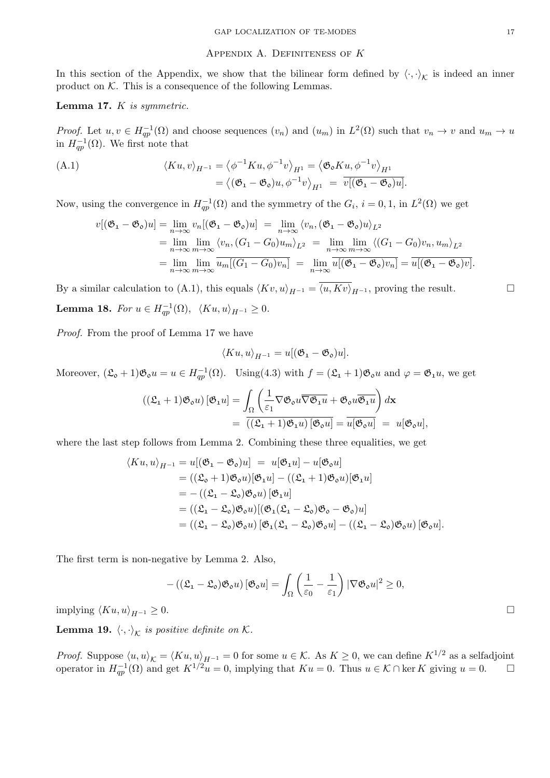#### Appendix A. Definiteness of K

In this section of the Appendix, we show that the bilinear form defined by  $\langle \cdot, \cdot \rangle_{\mathcal{K}}$  is indeed an inner product on  $K$ . This is a consequence of the following Lemmas.

**Lemma 17.**  $K$  is symmetric.

*Proof.* Let  $u, v \in H_{qp}^{-1}(\Omega)$  and choose sequences  $(v_n)$  and  $(u_m)$  in  $L^2(\Omega)$  such that  $v_n \to v$  and  $u_m \to u$ in  $H_{qp}^{-1}(\Omega)$ . We first note that

(A.1) 
$$
\langle Ku, v \rangle_{H^{-1}} = \langle \phi^{-1} Ku, \phi^{-1} v \rangle_{H^1} = \langle \mathfrak{G}_{\mathfrak{d}} Ku, \phi^{-1} v \rangle_{H^1}
$$

$$
= \langle (\mathfrak{G}_1 - \mathfrak{G}_{\mathfrak{d}}) u, \phi^{-1} v \rangle_{H^1} = \overline{v[(\mathfrak{G}_1 - \mathfrak{G}_{\mathfrak{d}}) u]}.
$$

Now, using the convergence in  $H^{-1}_{qp}(\Omega)$  and the symmetry of the  $G_i$ ,  $i = 0, 1$ , in  $L^2(\Omega)$  we get

$$
v[(\mathfrak{G}_1 - \mathfrak{G}_0)u] = \lim_{n \to \infty} v_n[(\mathfrak{G}_1 - \mathfrak{G}_0)u] = \lim_{n \to \infty} \langle v_n, (\mathfrak{G}_1 - \mathfrak{G}_0)u \rangle_{L^2}
$$
  
\n
$$
= \lim_{n \to \infty} \lim_{m \to \infty} \langle v_n, (G_1 - G_0)u_m \rangle_{L^2} = \lim_{n \to \infty} \lim_{m \to \infty} \langle (G_1 - G_0)v_n, u_m \rangle_{L^2}
$$
  
\n
$$
= \lim_{n \to \infty} \lim_{m \to \infty} \overline{u_m[(G_1 - G_0)v_n]} = \lim_{n \to \infty} \overline{u[(\mathfrak{G}_1 - \mathfrak{G}_0)v_n]} = \overline{u[(\mathfrak{G}_1 - \mathfrak{G}_0)v]}.
$$

By a similar calculation to (A.1), this equals  $\langle Kv, u \rangle_{H^{-1}} = \overline{\langle u, Kv \rangle}_{H^{-1}}$ , proving the result. **Lemma 18.** For  $u \in H_{qp}^{-1}(\Omega)$ ,  $\langle Ku, u \rangle_{H^{-1}} \geq 0$ .

Proof. From the proof of Lemma 17 we have

$$
\langle K u, u \rangle_{H^{-1}} = u [(\mathfrak{G}_1 - \mathfrak{G}_0) u].
$$

Moreover,  $(\mathfrak{L}_{\mathfrak{d}} + 1)\mathfrak{G}_{\mathfrak{d}}u = u \in H_{qp}^{-1}(\Omega)$ . Using(4.3) with  $f = (\mathfrak{L}_{1} + 1)\mathfrak{G}_{\mathfrak{d}}u$  and  $\varphi = \mathfrak{G}_{1}u$ , we get

$$
\begin{aligned} \left((\mathfrak{L}_1 + 1)\mathfrak{G}_\mathfrak{d} u\right)[\mathfrak{G}_1 u] &= \int_{\Omega} \left(\frac{1}{\varepsilon_1} \nabla \mathfrak{G}_\mathfrak{d} u \overline{\nabla \mathfrak{G}_1 u} + \mathfrak{G}_\mathfrak{d} u \overline{\mathfrak{G}_1 u}\right) d\mathbf{x} \\ &= \left. \overline{\left((\mathfrak{L}_1 + 1)\mathfrak{G}_1 u\right)[\mathfrak{G}_\mathfrak{d} u]} = \overline{u[\mathfrak{G}_\mathfrak{d} u]} = u[\mathfrak{G}_\mathfrak{d} u], \end{aligned}
$$

where the last step follows from Lemma 2. Combining these three equalities, we get

$$
\langle Ku, u \rangle_{H^{-1}} = u[(\mathfrak{G}_1 - \mathfrak{G}_0)u] = u[\mathfrak{G}_1u] - u[\mathfrak{G}_0u]
$$
  
\n
$$
= ((\mathfrak{L}_0 + 1)\mathfrak{G}_0u)[\mathfrak{G}_1u] - ((\mathfrak{L}_1 + 1)\mathfrak{G}_0u)[\mathfrak{G}_1u]
$$
  
\n
$$
= -((\mathfrak{L}_1 - \mathfrak{L}_0)\mathfrak{G}_0u)[\mathfrak{G}_1u]
$$
  
\n
$$
= ((\mathfrak{L}_1 - \mathfrak{L}_0)\mathfrak{G}_0u)[(\mathfrak{G}_1(\mathfrak{L}_1 - \mathfrak{L}_0)\mathfrak{G}_0 - \mathfrak{G}_0)u]
$$
  
\n
$$
= ((\mathfrak{L}_1 - \mathfrak{L}_0)\mathfrak{G}_0u)[\mathfrak{G}_1(\mathfrak{L}_1 - \mathfrak{L}_0)\mathfrak{G}_0u] - ((\mathfrak{L}_1 - \mathfrak{L}_0)\mathfrak{G}_0u)[\mathfrak{G}_0u].
$$

The first term is non-negative by Lemma 2. Also,

$$
-((\mathfrak{L}_{1}-\mathfrak{L}_{0})\mathfrak{G}_{0}u)[\mathfrak{G}_{0}u]=\int_{\Omega}\left(\frac{1}{\varepsilon_{0}}-\frac{1}{\varepsilon_{1}}\right)|\nabla\mathfrak{G}_{0}u|^{2}\geq 0,
$$

implying  $\langle K u, u \rangle_{H^{-1}} \geq 0.$ 

**Lemma 19.**  $\langle \cdot, \cdot \rangle_{\mathcal{K}}$  is positive definite on K.

*Proof.* Suppose  $\langle u, u \rangle_{\mathcal{K}} = \langle Ku, u \rangle_{H^{-1}} = 0$  for some  $u \in \mathcal{K}$ . As  $K \geq 0$ , we can define  $K^{1/2}$  as a selfadjoint operator in  $H_{qp}^{-1}(\Omega)$  and get  $K^{1/2}u = 0$ , implying that  $Ku = 0$ . Thus  $u \in \mathcal{K} \cap \ker K$  giving  $u = 0$ .  $\Box$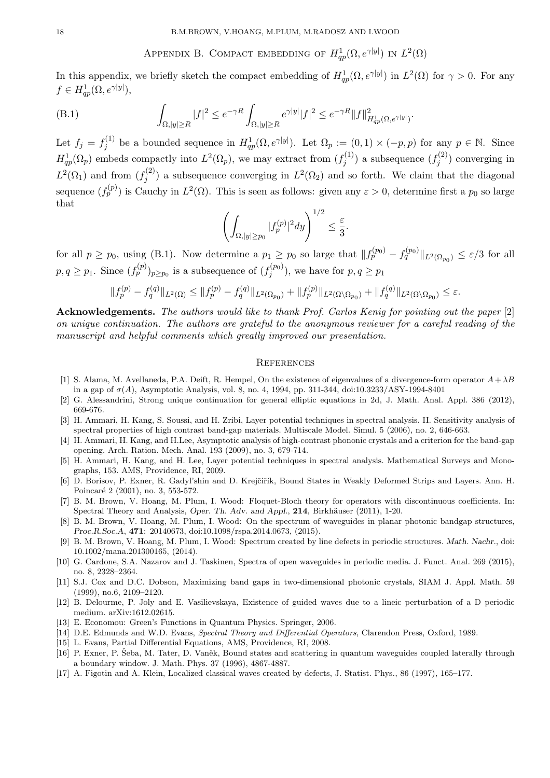APPENDIX B. COMPACT EMBEDDING OF  $H_{qp}^{1}(\Omega,e^{\gamma|y|})$  in  $L^{2}(\Omega)$ 

In this appendix, we briefly sketch the compact embedding of  $H_{qp}^1(\Omega, e^{\gamma|y|})$  in  $L^2(\Omega)$  for  $\gamma > 0$ . For any  $f \in H_{qp}^{1}(\Omega, e^{\gamma |y|}),$ 

(B.1) 
$$
\int_{\Omega, |y| \ge R} |f|^2 \le e^{-\gamma R} \int_{\Omega, |y| \ge R} e^{\gamma |y|} |f|^2 \le e^{-\gamma R} ||f||_{H_{qp}^1(\Omega, e^{\gamma |y|})}^2.
$$

Let  $f_j = f_j^{(1)}$  $j_j^{(1)}$  be a bounded sequence in  $H_{qp}^1(\Omega, e^{\gamma|y|})$ . Let  $\Omega_p := (0,1) \times (-p,p)$  for any  $p \in \mathbb{N}$ . Since  $H_{qp}^1(\Omega_p)$  embeds compactly into  $L^2(\Omega_p)$ , we may extract from  $(f_j^{(1)})$  $f_j^{(1)}$ ) a subsequence  $(f_j^{(2)}$  $j^{(2)}$ ) converging in  $L^2(\Omega_1)$  and from  $(f_i^{(2)})$  $j^{(2)}$ ) a subsequence converging in  $L^2(\Omega_2)$  and so forth. We claim that the diagonal sequence  $(f_p^{(p)})$  is Cauchy in  $L^2(\Omega)$ . This is seen as follows: given any  $\varepsilon > 0$ , determine first a  $p_0$  so large that

$$
\left(\int_{\Omega,|y|\geq p_0} |f_p^{(p)}|^2 dy\right)^{1/2} \leq \frac{\varepsilon}{3}.
$$

for all  $p \ge p_0$ , using (B.1). Now determine a  $p_1 \ge p_0$  so large that  $|| f_p^{(p_0)} - f_q^{(p_0)} ||_{L^2(\Omega_{p_0})} \le \varepsilon/3$  for all  $p, q \ge p_1$ . Since  $(f_p^{(p)})_{p \ge p_0}$  is a subsequence of  $(f_j^{(p_0)})$  $j^{(p_0)}$ , we have for  $p, q \geq p_1$ 

$$
||f_p^{(p)} - f_q^{(q)}||_{L^2(\Omega)} \le ||f_p^{(p)} - f_q^{(q)}||_{L^2(\Omega_{p_0})} + ||f_p^{(p)}||_{L^2(\Omega \setminus \Omega_{p_0})} + ||f_q^{(q)}||_{L^2(\Omega \setminus \Omega_{p_0})} \le \varepsilon.
$$

Acknowledgements. The authors would like to thank Prof. Carlos Kenig for pointing out the paper [2] on unique continuation. The authors are grateful to the anonymous reviewer for a careful reading of the manuscript and helpful comments which greatly improved our presentation.

#### **REFERENCES**

- [1] S. Alama, M. Avellaneda, P.A. Deift, R. Hempel, On the existence of eigenvalues of a divergence-form operator  $A + \lambda B$ in a gap of  $\sigma(A)$ , Asymptotic Analysis, vol. 8, no. 4, 1994, pp. 311-344, doi:10.3233/ASY-1994-8401
- [2] G. Alessandrini, Strong unique continuation for general elliptic equations in 2d, J. Math. Anal. Appl. 386 (2012), 669-676.
- [3] H. Ammari, H. Kang, S. Soussi, and H. Zribi, Layer potential techniques in spectral analysis. II. Sensitivity analysis of spectral properties of high contrast band-gap materials. Multiscale Model. Simul. 5 (2006), no. 2, 646-663.
- [4] H. Ammari, H. Kang, and H.Lee, Asymptotic analysis of high-contrast phononic crystals and a criterion for the band-gap opening. Arch. Ration. Mech. Anal. 193 (2009), no. 3, 679-714.
- [5] H. Ammari, H. Kang, and H. Lee, Layer potential techniques in spectral analysis. Mathematical Surveys and Monographs, 153. AMS, Providence, RI, 2009.
- [6] D. Borisov, P. Exner, R. Gadyl'shin and D. Krejčiřík, Bound States in Weakly Deformed Strips and Layers. Ann. H. Poincaré 2 (2001), no. 3, 553-572.
- [7] B. M. Brown, V. Hoang, M. Plum, I. Wood: Floquet-Bloch theory for operators with discontinuous coefficients. In: Spectral Theory and Analysis, Oper. Th. Adv. and Appl., 214, Birkhäuser (2011), 1-20.
- [8] B. M. Brown, V. Hoang, M. Plum, I. Wood: On the spectrum of waveguides in planar photonic bandgap structures, Proc.R.Soc.A, 471: 20140673, doi:10.1098/rspa.2014.0673, (2015).
- [9] B. M. Brown, V. Hoang, M. Plum, I. Wood: Spectrum created by line defects in periodic structures. Math. Nachr., doi: 10.1002/mana.201300165, (2014).
- [10] G. Cardone, S.A. Nazarov and J. Taskinen, Spectra of open waveguides in periodic media. J. Funct. Anal. 269 (2015), no. 8, 2328–2364.
- [11] S.J. Cox and D.C. Dobson, Maximizing band gaps in two-dimensional photonic crystals, SIAM J. Appl. Math. 59 (1999), no.6, 2109–2120.
- [12] B. Delourme, P. Joly and E. Vasilievskaya, Existence of guided waves due to a lineic perturbation of a D periodic medium. arXiv:1612.02615.
- [13] E. Economou: Green's Functions in Quantum Physics. Springer, 2006.
- [14] D.E. Edmunds and W.D. Evans, Spectral Theory and Differential Operators, Clarendon Press, Oxford, 1989.
- [15] L. Evans, Partial Differential Equations, AMS, Providence, RI, 2008.
- [16] P. Exner, P. Šeba, M. Tater, D. Vaněk, Bound states and scattering in quantum waveguides coupled laterally through a boundary window. J. Math. Phys. 37 (1996), 4867-4887.
- [17] A. Figotin and A. Klein, Localized classical waves created by defects, J. Statist. Phys., 86 (1997), 165–177.